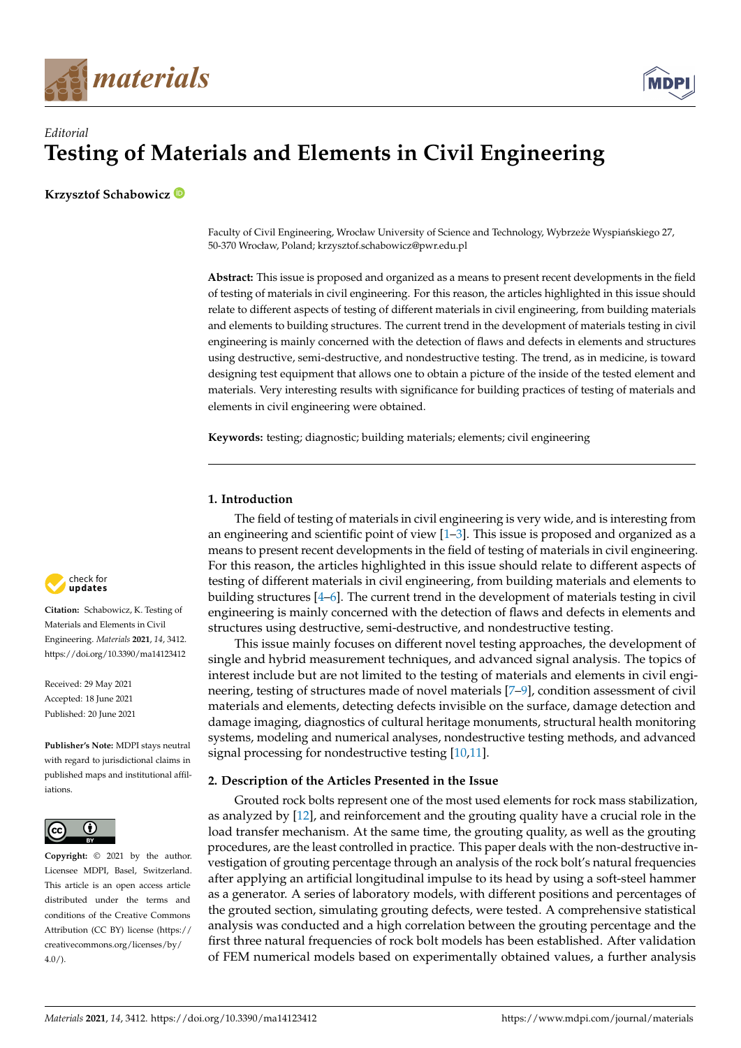



# *Editorial* **Testing of Materials and Elements in Civil Engineering**

**Krzysztof Schabowicz**

Faculty of Civil Engineering, Wrocław University of Science and Technology, Wybrzeże Wyspiańskiego 27, 50-370 Wrocław, Poland; krzysztof.schabowicz@pwr.edu.pl

**Abstract:** This issue is proposed and organized as a means to present recent developments in the field of testing of materials in civil engineering. For this reason, the articles highlighted in this issue should relate to different aspects of testing of different materials in civil engineering, from building materials and elements to building structures. The current trend in the development of materials testing in civil engineering is mainly concerned with the detection of flaws and defects in elements and structures using destructive, semi-destructive, and nondestructive testing. The trend, as in medicine, is toward designing test equipment that allows one to obtain a picture of the inside of the tested element and materials. Very interesting results with significance for building practices of testing of materials and elements in civil engineering were obtained.

**Keywords:** testing; diagnostic; building materials; elements; civil engineering

## **1. Introduction**

The field of testing of materials in civil engineering is very wide, and is interesting from an engineering and scientific point of view [\[1–](#page-17-0)[3\]](#page-17-1). This issue is proposed and organized as a means to present recent developments in the field of testing of materials in civil engineering. For this reason, the articles highlighted in this issue should relate to different aspects of testing of different materials in civil engineering, from building materials and elements to building structures [\[4](#page-17-2)[–6\]](#page-17-3). The current trend in the development of materials testing in civil engineering is mainly concerned with the detection of flaws and defects in elements and structures using destructive, semi-destructive, and nondestructive testing.

This issue mainly focuses on different novel testing approaches, the development of single and hybrid measurement techniques, and advanced signal analysis. The topics of interest include but are not limited to the testing of materials and elements in civil engineering, testing of structures made of novel materials [\[7–](#page-17-4)[9\]](#page-17-5), condition assessment of civil materials and elements, detecting defects invisible on the surface, damage detection and damage imaging, diagnostics of cultural heritage monuments, structural health monitoring systems, modeling and numerical analyses, nondestructive testing methods, and advanced signal processing for nondestructive testing [\[10,](#page-17-6)[11\]](#page-17-7).

### **2. Description of the Articles Presented in the Issue**

Grouted rock bolts represent one of the most used elements for rock mass stabilization, as analyzed by [\[12\]](#page-17-8), and reinforcement and the grouting quality have a crucial role in the load transfer mechanism. At the same time, the grouting quality, as well as the grouting procedures, are the least controlled in practice. This paper deals with the non-destructive investigation of grouting percentage through an analysis of the rock bolt's natural frequencies after applying an artificial longitudinal impulse to its head by using a soft-steel hammer as a generator. A series of laboratory models, with different positions and percentages of the grouted section, simulating grouting defects, were tested. A comprehensive statistical analysis was conducted and a high correlation between the grouting percentage and the first three natural frequencies of rock bolt models has been established. After validation of FEM numerical models based on experimentally obtained values, a further analysis



**Citation:** Schabowicz, K. Testing of Materials and Elements in Civil Engineering. *Materials* **2021**, *14*, 3412. <https://doi.org/10.3390/ma14123412>

Received: 29 May 2021 Accepted: 18 June 2021 Published: 20 June 2021

**Publisher's Note:** MDPI stays neutral with regard to jurisdictional claims in published maps and institutional affiliations.



**Copyright:** © 2021 by the author. Licensee MDPI, Basel, Switzerland. This article is an open access article distributed under the terms and conditions of the Creative Commons Attribution (CC BY) license (https:/[/](https://creativecommons.org/licenses/by/4.0/) [creativecommons.org/licenses/by/](https://creativecommons.org/licenses/by/4.0/)  $4.0/$ ).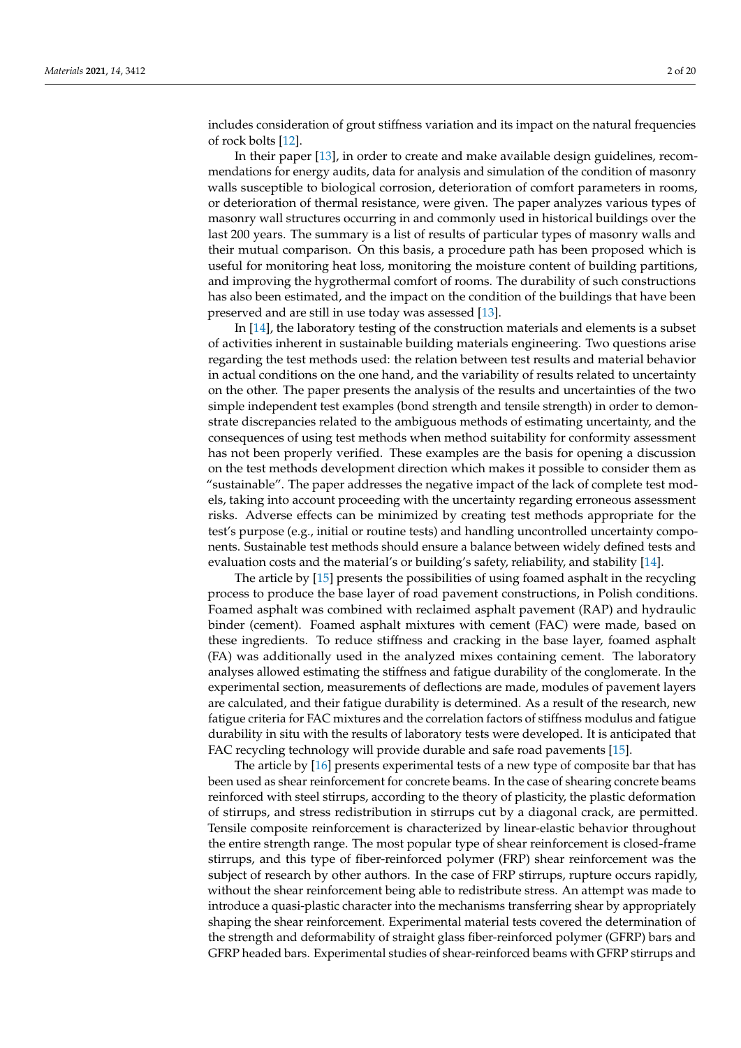includes consideration of grout stiffness variation and its impact on the natural frequencies of rock bolts [\[12\]](#page-17-8).

In their paper [\[13\]](#page-17-9), in order to create and make available design guidelines, recommendations for energy audits, data for analysis and simulation of the condition of masonry walls susceptible to biological corrosion, deterioration of comfort parameters in rooms, or deterioration of thermal resistance, were given. The paper analyzes various types of masonry wall structures occurring in and commonly used in historical buildings over the last 200 years. The summary is a list of results of particular types of masonry walls and their mutual comparison. On this basis, a procedure path has been proposed which is useful for monitoring heat loss, monitoring the moisture content of building partitions, and improving the hygrothermal comfort of rooms. The durability of such constructions has also been estimated, and the impact on the condition of the buildings that have been preserved and are still in use today was assessed [\[13\]](#page-17-9).

In [\[14\]](#page-17-10), the laboratory testing of the construction materials and elements is a subset of activities inherent in sustainable building materials engineering. Two questions arise regarding the test methods used: the relation between test results and material behavior in actual conditions on the one hand, and the variability of results related to uncertainty on the other. The paper presents the analysis of the results and uncertainties of the two simple independent test examples (bond strength and tensile strength) in order to demonstrate discrepancies related to the ambiguous methods of estimating uncertainty, and the consequences of using test methods when method suitability for conformity assessment has not been properly verified. These examples are the basis for opening a discussion on the test methods development direction which makes it possible to consider them as "sustainable". The paper addresses the negative impact of the lack of complete test models, taking into account proceeding with the uncertainty regarding erroneous assessment risks. Adverse effects can be minimized by creating test methods appropriate for the test's purpose (e.g., initial or routine tests) and handling uncontrolled uncertainty components. Sustainable test methods should ensure a balance between widely defined tests and evaluation costs and the material's or building's safety, reliability, and stability [\[14\]](#page-17-10).

The article by [\[15\]](#page-17-11) presents the possibilities of using foamed asphalt in the recycling process to produce the base layer of road pavement constructions, in Polish conditions. Foamed asphalt was combined with reclaimed asphalt pavement (RAP) and hydraulic binder (cement). Foamed asphalt mixtures with cement (FAC) were made, based on these ingredients. To reduce stiffness and cracking in the base layer, foamed asphalt (FA) was additionally used in the analyzed mixes containing cement. The laboratory analyses allowed estimating the stiffness and fatigue durability of the conglomerate. In the experimental section, measurements of deflections are made, modules of pavement layers are calculated, and their fatigue durability is determined. As a result of the research, new fatigue criteria for FAC mixtures and the correlation factors of stiffness modulus and fatigue durability in situ with the results of laboratory tests were developed. It is anticipated that FAC recycling technology will provide durable and safe road pavements [\[15\]](#page-17-11).

The article by [\[16\]](#page-17-12) presents experimental tests of a new type of composite bar that has been used as shear reinforcement for concrete beams. In the case of shearing concrete beams reinforced with steel stirrups, according to the theory of plasticity, the plastic deformation of stirrups, and stress redistribution in stirrups cut by a diagonal crack, are permitted. Tensile composite reinforcement is characterized by linear-elastic behavior throughout the entire strength range. The most popular type of shear reinforcement is closed-frame stirrups, and this type of fiber-reinforced polymer (FRP) shear reinforcement was the subject of research by other authors. In the case of FRP stirrups, rupture occurs rapidly, without the shear reinforcement being able to redistribute stress. An attempt was made to introduce a quasi-plastic character into the mechanisms transferring shear by appropriately shaping the shear reinforcement. Experimental material tests covered the determination of the strength and deformability of straight glass fiber-reinforced polymer (GFRP) bars and GFRP headed bars. Experimental studies of shear-reinforced beams with GFRP stirrups and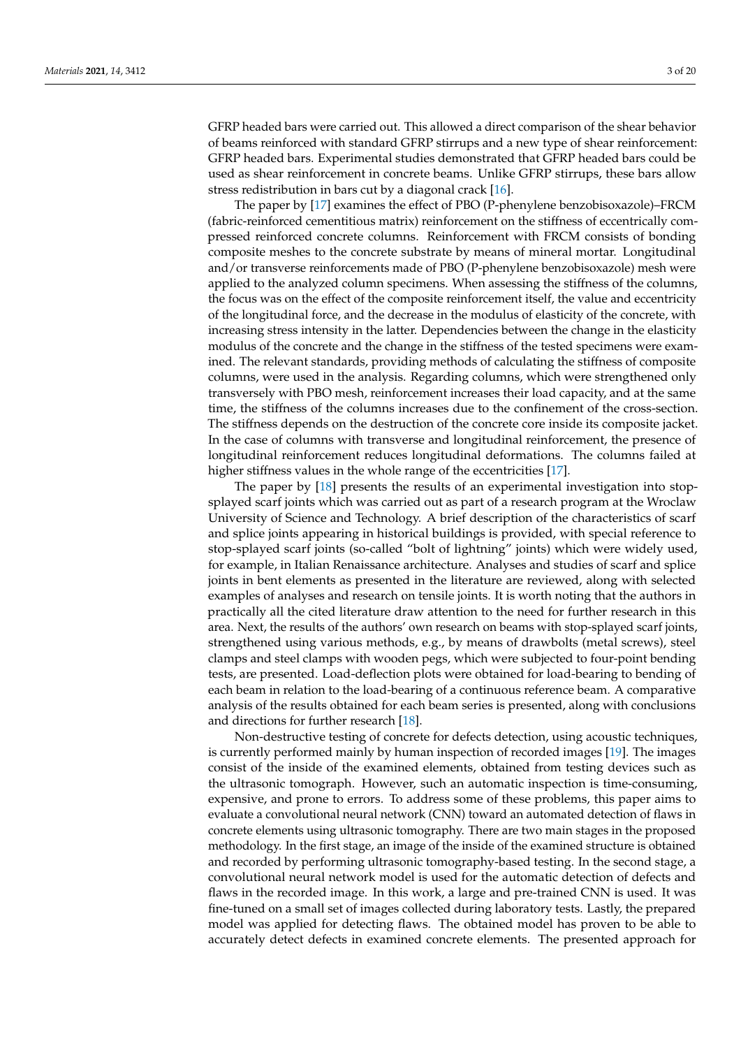GFRP headed bars were carried out. This allowed a direct comparison of the shear behavior of beams reinforced with standard GFRP stirrups and a new type of shear reinforcement: GFRP headed bars. Experimental studies demonstrated that GFRP headed bars could be used as shear reinforcement in concrete beams. Unlike GFRP stirrups, these bars allow stress redistribution in bars cut by a diagonal crack [\[16\]](#page-17-12).

The paper by [\[17\]](#page-17-13) examines the effect of PBO (P-phenylene benzobisoxazole)–FRCM (fabric-reinforced cementitious matrix) reinforcement on the stiffness of eccentrically compressed reinforced concrete columns. Reinforcement with FRCM consists of bonding composite meshes to the concrete substrate by means of mineral mortar. Longitudinal and/or transverse reinforcements made of PBO (P-phenylene benzobisoxazole) mesh were applied to the analyzed column specimens. When assessing the stiffness of the columns, the focus was on the effect of the composite reinforcement itself, the value and eccentricity of the longitudinal force, and the decrease in the modulus of elasticity of the concrete, with increasing stress intensity in the latter. Dependencies between the change in the elasticity modulus of the concrete and the change in the stiffness of the tested specimens were examined. The relevant standards, providing methods of calculating the stiffness of composite columns, were used in the analysis. Regarding columns, which were strengthened only transversely with PBO mesh, reinforcement increases their load capacity, and at the same time, the stiffness of the columns increases due to the confinement of the cross-section. The stiffness depends on the destruction of the concrete core inside its composite jacket. In the case of columns with transverse and longitudinal reinforcement, the presence of longitudinal reinforcement reduces longitudinal deformations. The columns failed at higher stiffness values in the whole range of the eccentricities [\[17\]](#page-17-13).

The paper by [\[18\]](#page-18-0) presents the results of an experimental investigation into stopsplayed scarf joints which was carried out as part of a research program at the Wroclaw University of Science and Technology. A brief description of the characteristics of scarf and splice joints appearing in historical buildings is provided, with special reference to stop-splayed scarf joints (so-called "bolt of lightning" joints) which were widely used, for example, in Italian Renaissance architecture. Analyses and studies of scarf and splice joints in bent elements as presented in the literature are reviewed, along with selected examples of analyses and research on tensile joints. It is worth noting that the authors in practically all the cited literature draw attention to the need for further research in this area. Next, the results of the authors' own research on beams with stop-splayed scarf joints, strengthened using various methods, e.g., by means of drawbolts (metal screws), steel clamps and steel clamps with wooden pegs, which were subjected to four-point bending tests, are presented. Load-deflection plots were obtained for load-bearing to bending of each beam in relation to the load-bearing of a continuous reference beam. A comparative analysis of the results obtained for each beam series is presented, along with conclusions and directions for further research [\[18\]](#page-18-0).

Non-destructive testing of concrete for defects detection, using acoustic techniques, is currently performed mainly by human inspection of recorded images [\[19\]](#page-18-1). The images consist of the inside of the examined elements, obtained from testing devices such as the ultrasonic tomograph. However, such an automatic inspection is time-consuming, expensive, and prone to errors. To address some of these problems, this paper aims to evaluate a convolutional neural network (CNN) toward an automated detection of flaws in concrete elements using ultrasonic tomography. There are two main stages in the proposed methodology. In the first stage, an image of the inside of the examined structure is obtained and recorded by performing ultrasonic tomography-based testing. In the second stage, a convolutional neural network model is used for the automatic detection of defects and flaws in the recorded image. In this work, a large and pre-trained CNN is used. It was fine-tuned on a small set of images collected during laboratory tests. Lastly, the prepared model was applied for detecting flaws. The obtained model has proven to be able to accurately detect defects in examined concrete elements. The presented approach for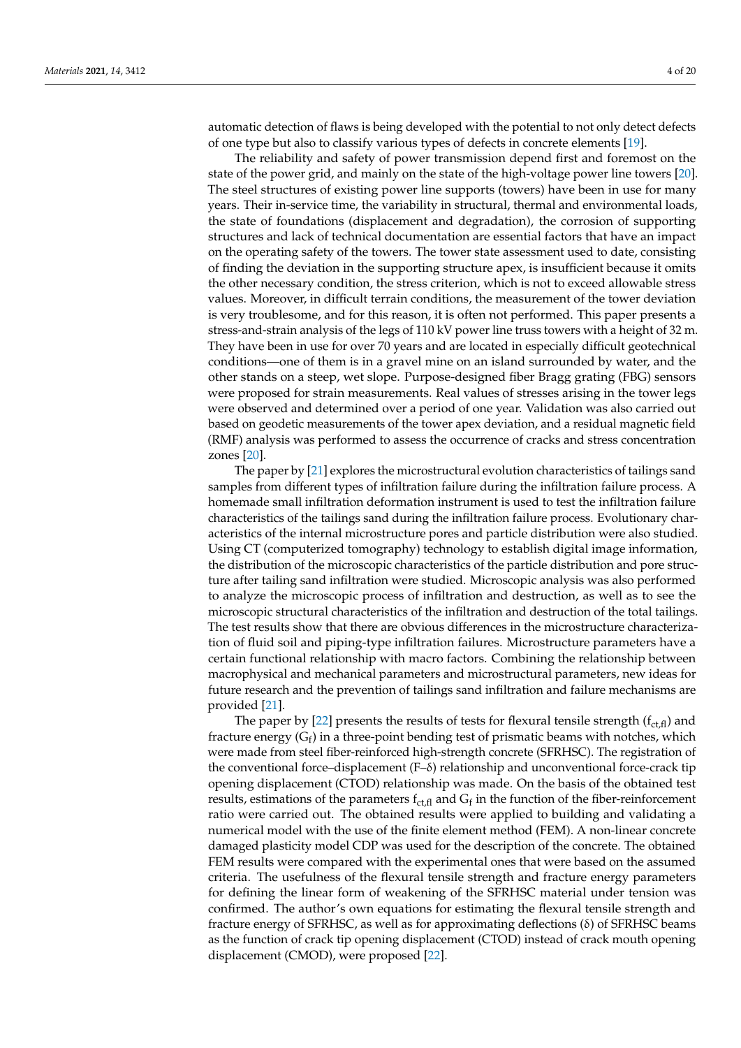automatic detection of flaws is being developed with the potential to not only detect defects of one type but also to classify various types of defects in concrete elements [\[19\]](#page-18-1).

The reliability and safety of power transmission depend first and foremost on the state of the power grid, and mainly on the state of the high-voltage power line towers [\[20\]](#page-18-2). The steel structures of existing power line supports (towers) have been in use for many years. Their in-service time, the variability in structural, thermal and environmental loads, the state of foundations (displacement and degradation), the corrosion of supporting structures and lack of technical documentation are essential factors that have an impact on the operating safety of the towers. The tower state assessment used to date, consisting of finding the deviation in the supporting structure apex, is insufficient because it omits the other necessary condition, the stress criterion, which is not to exceed allowable stress values. Moreover, in difficult terrain conditions, the measurement of the tower deviation is very troublesome, and for this reason, it is often not performed. This paper presents a stress-and-strain analysis of the legs of 110 kV power line truss towers with a height of 32 m. They have been in use for over 70 years and are located in especially difficult geotechnical conditions—one of them is in a gravel mine on an island surrounded by water, and the other stands on a steep, wet slope. Purpose-designed fiber Bragg grating (FBG) sensors were proposed for strain measurements. Real values of stresses arising in the tower legs were observed and determined over a period of one year. Validation was also carried out based on geodetic measurements of the tower apex deviation, and a residual magnetic field (RMF) analysis was performed to assess the occurrence of cracks and stress concentration zones [\[20\]](#page-18-2).

The paper by [\[21\]](#page-18-3) explores the microstructural evolution characteristics of tailings sand samples from different types of infiltration failure during the infiltration failure process. A homemade small infiltration deformation instrument is used to test the infiltration failure characteristics of the tailings sand during the infiltration failure process. Evolutionary characteristics of the internal microstructure pores and particle distribution were also studied. Using CT (computerized tomography) technology to establish digital image information, the distribution of the microscopic characteristics of the particle distribution and pore structure after tailing sand infiltration were studied. Microscopic analysis was also performed to analyze the microscopic process of infiltration and destruction, as well as to see the microscopic structural characteristics of the infiltration and destruction of the total tailings. The test results show that there are obvious differences in the microstructure characterization of fluid soil and piping-type infiltration failures. Microstructure parameters have a certain functional relationship with macro factors. Combining the relationship between macrophysical and mechanical parameters and microstructural parameters, new ideas for future research and the prevention of tailings sand infiltration and failure mechanisms are provided [\[21\]](#page-18-3).

The paper by [\[22\]](#page-18-4) presents the results of tests for flexural tensile strength  $(f_{ct,fl})$  and fracture energy ( $G_f$ ) in a three-point bending test of prismatic beams with notches, which were made from steel fiber-reinforced high-strength concrete (SFRHSC). The registration of the conventional force–displacement (F–δ) relationship and unconventional force-crack tip opening displacement (CTOD) relationship was made. On the basis of the obtained test results, estimations of the parameters  $f_{ct,fl}$  and  $G_f$  in the function of the fiber-reinforcement ratio were carried out. The obtained results were applied to building and validating a numerical model with the use of the finite element method (FEM). A non-linear concrete damaged plasticity model CDP was used for the description of the concrete. The obtained FEM results were compared with the experimental ones that were based on the assumed criteria. The usefulness of the flexural tensile strength and fracture energy parameters for defining the linear form of weakening of the SFRHSC material under tension was confirmed. The author's own equations for estimating the flexural tensile strength and fracture energy of SFRHSC, as well as for approximating deflections (δ) of SFRHSC beams as the function of crack tip opening displacement (CTOD) instead of crack mouth opening displacement (CMOD), were proposed [\[22\]](#page-18-4).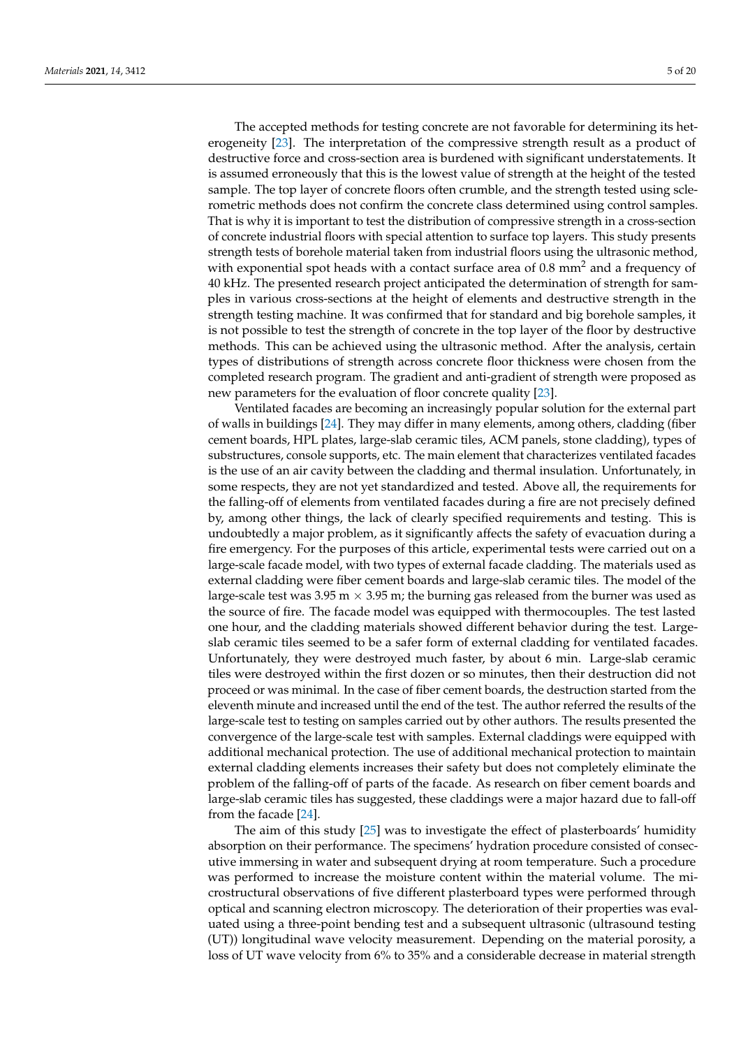The accepted methods for testing concrete are not favorable for determining its heterogeneity [\[23\]](#page-18-5). The interpretation of the compressive strength result as a product of destructive force and cross-section area is burdened with significant understatements. It is assumed erroneously that this is the lowest value of strength at the height of the tested sample. The top layer of concrete floors often crumble, and the strength tested using sclerometric methods does not confirm the concrete class determined using control samples. That is why it is important to test the distribution of compressive strength in a cross-section of concrete industrial floors with special attention to surface top layers. This study presents strength tests of borehole material taken from industrial floors using the ultrasonic method, with exponential spot heads with a contact surface area of  $0.8 \text{ mm}^2$  and a frequency of 40 kHz. The presented research project anticipated the determination of strength for samples in various cross-sections at the height of elements and destructive strength in the strength testing machine. It was confirmed that for standard and big borehole samples, it is not possible to test the strength of concrete in the top layer of the floor by destructive methods. This can be achieved using the ultrasonic method. After the analysis, certain types of distributions of strength across concrete floor thickness were chosen from the completed research program. The gradient and anti-gradient of strength were proposed as new parameters for the evaluation of floor concrete quality [\[23\]](#page-18-5).

Ventilated facades are becoming an increasingly popular solution for the external part of walls in buildings [\[24\]](#page-18-6). They may differ in many elements, among others, cladding (fiber cement boards, HPL plates, large-slab ceramic tiles, ACM panels, stone cladding), types of substructures, console supports, etc. The main element that characterizes ventilated facades is the use of an air cavity between the cladding and thermal insulation. Unfortunately, in some respects, they are not yet standardized and tested. Above all, the requirements for the falling-off of elements from ventilated facades during a fire are not precisely defined by, among other things, the lack of clearly specified requirements and testing. This is undoubtedly a major problem, as it significantly affects the safety of evacuation during a fire emergency. For the purposes of this article, experimental tests were carried out on a large-scale facade model, with two types of external facade cladding. The materials used as external cladding were fiber cement boards and large-slab ceramic tiles. The model of the large-scale test was 3.95 m  $\times$  3.95 m; the burning gas released from the burner was used as the source of fire. The facade model was equipped with thermocouples. The test lasted one hour, and the cladding materials showed different behavior during the test. Largeslab ceramic tiles seemed to be a safer form of external cladding for ventilated facades. Unfortunately, they were destroyed much faster, by about 6 min. Large-slab ceramic tiles were destroyed within the first dozen or so minutes, then their destruction did not proceed or was minimal. In the case of fiber cement boards, the destruction started from the eleventh minute and increased until the end of the test. The author referred the results of the large-scale test to testing on samples carried out by other authors. The results presented the convergence of the large-scale test with samples. External claddings were equipped with additional mechanical protection. The use of additional mechanical protection to maintain external cladding elements increases their safety but does not completely eliminate the problem of the falling-off of parts of the facade. As research on fiber cement boards and large-slab ceramic tiles has suggested, these claddings were a major hazard due to fall-off from the facade [\[24\]](#page-18-6).

The aim of this study [\[25\]](#page-18-7) was to investigate the effect of plasterboards' humidity absorption on their performance. The specimens' hydration procedure consisted of consecutive immersing in water and subsequent drying at room temperature. Such a procedure was performed to increase the moisture content within the material volume. The microstructural observations of five different plasterboard types were performed through optical and scanning electron microscopy. The deterioration of their properties was evaluated using a three-point bending test and a subsequent ultrasonic (ultrasound testing (UT)) longitudinal wave velocity measurement. Depending on the material porosity, a loss of UT wave velocity from 6% to 35% and a considerable decrease in material strength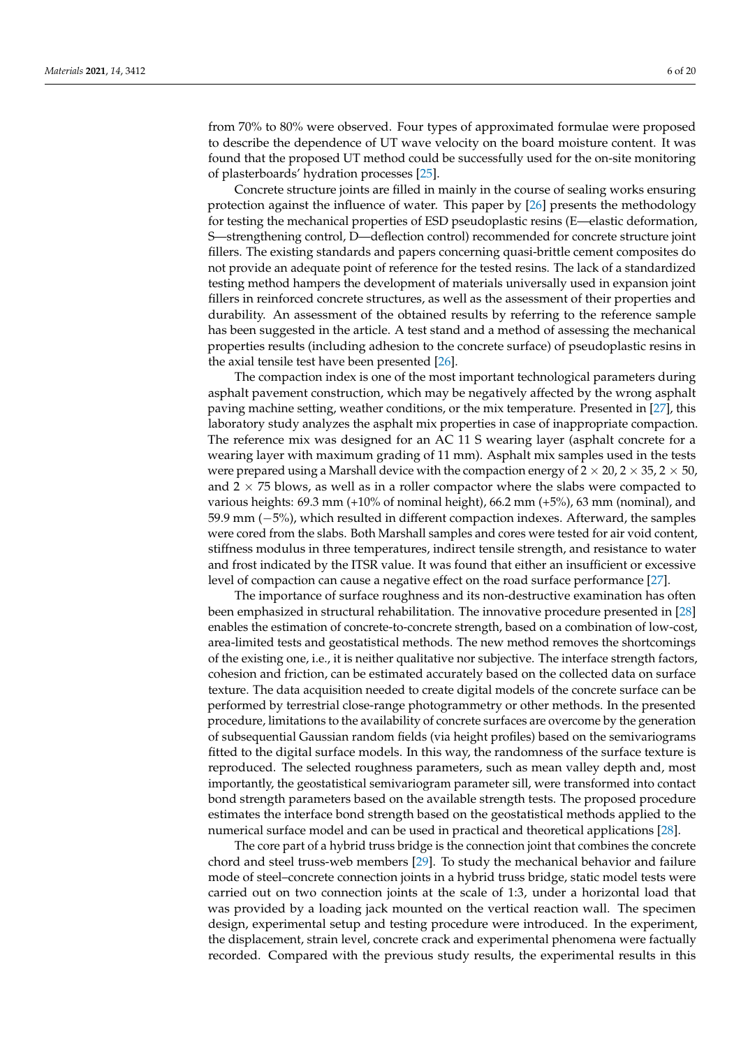from 70% to 80% were observed. Four types of approximated formulae were proposed to describe the dependence of UT wave velocity on the board moisture content. It was found that the proposed UT method could be successfully used for the on-site monitoring of plasterboards' hydration processes [\[25\]](#page-18-7).

Concrete structure joints are filled in mainly in the course of sealing works ensuring protection against the influence of water. This paper by [\[26\]](#page-18-8) presents the methodology for testing the mechanical properties of ESD pseudoplastic resins (E—elastic deformation, S—strengthening control, D—deflection control) recommended for concrete structure joint fillers. The existing standards and papers concerning quasi-brittle cement composites do not provide an adequate point of reference for the tested resins. The lack of a standardized testing method hampers the development of materials universally used in expansion joint fillers in reinforced concrete structures, as well as the assessment of their properties and durability. An assessment of the obtained results by referring to the reference sample has been suggested in the article. A test stand and a method of assessing the mechanical properties results (including adhesion to the concrete surface) of pseudoplastic resins in the axial tensile test have been presented [\[26\]](#page-18-8).

The compaction index is one of the most important technological parameters during asphalt pavement construction, which may be negatively affected by the wrong asphalt paving machine setting, weather conditions, or the mix temperature. Presented in [\[27\]](#page-18-9), this laboratory study analyzes the asphalt mix properties in case of inappropriate compaction. The reference mix was designed for an AC 11 S wearing layer (asphalt concrete for a wearing layer with maximum grading of 11 mm). Asphalt mix samples used in the tests were prepared using a Marshall device with the compaction energy of  $2 \times 20$ ,  $2 \times 35$ ,  $2 \times 50$ , and  $2 \times 75$  blows, as well as in a roller compactor where the slabs were compacted to various heights: 69.3 mm (+10% of nominal height), 66.2 mm (+5%), 63 mm (nominal), and 59.9 mm (−5%), which resulted in different compaction indexes. Afterward, the samples were cored from the slabs. Both Marshall samples and cores were tested for air void content, stiffness modulus in three temperatures, indirect tensile strength, and resistance to water and frost indicated by the ITSR value. It was found that either an insufficient or excessive level of compaction can cause a negative effect on the road surface performance [\[27\]](#page-18-9).

The importance of surface roughness and its non-destructive examination has often been emphasized in structural rehabilitation. The innovative procedure presented in [\[28\]](#page-18-10) enables the estimation of concrete-to-concrete strength, based on a combination of low-cost, area-limited tests and geostatistical methods. The new method removes the shortcomings of the existing one, i.e., it is neither qualitative nor subjective. The interface strength factors, cohesion and friction, can be estimated accurately based on the collected data on surface texture. The data acquisition needed to create digital models of the concrete surface can be performed by terrestrial close-range photogrammetry or other methods. In the presented procedure, limitations to the availability of concrete surfaces are overcome by the generation of subsequential Gaussian random fields (via height profiles) based on the semivariograms fitted to the digital surface models. In this way, the randomness of the surface texture is reproduced. The selected roughness parameters, such as mean valley depth and, most importantly, the geostatistical semivariogram parameter sill, were transformed into contact bond strength parameters based on the available strength tests. The proposed procedure estimates the interface bond strength based on the geostatistical methods applied to the numerical surface model and can be used in practical and theoretical applications [\[28\]](#page-18-10).

The core part of a hybrid truss bridge is the connection joint that combines the concrete chord and steel truss-web members [\[29\]](#page-18-11). To study the mechanical behavior and failure mode of steel–concrete connection joints in a hybrid truss bridge, static model tests were carried out on two connection joints at the scale of 1:3, under a horizontal load that was provided by a loading jack mounted on the vertical reaction wall. The specimen design, experimental setup and testing procedure were introduced. In the experiment, the displacement, strain level, concrete crack and experimental phenomena were factually recorded. Compared with the previous study results, the experimental results in this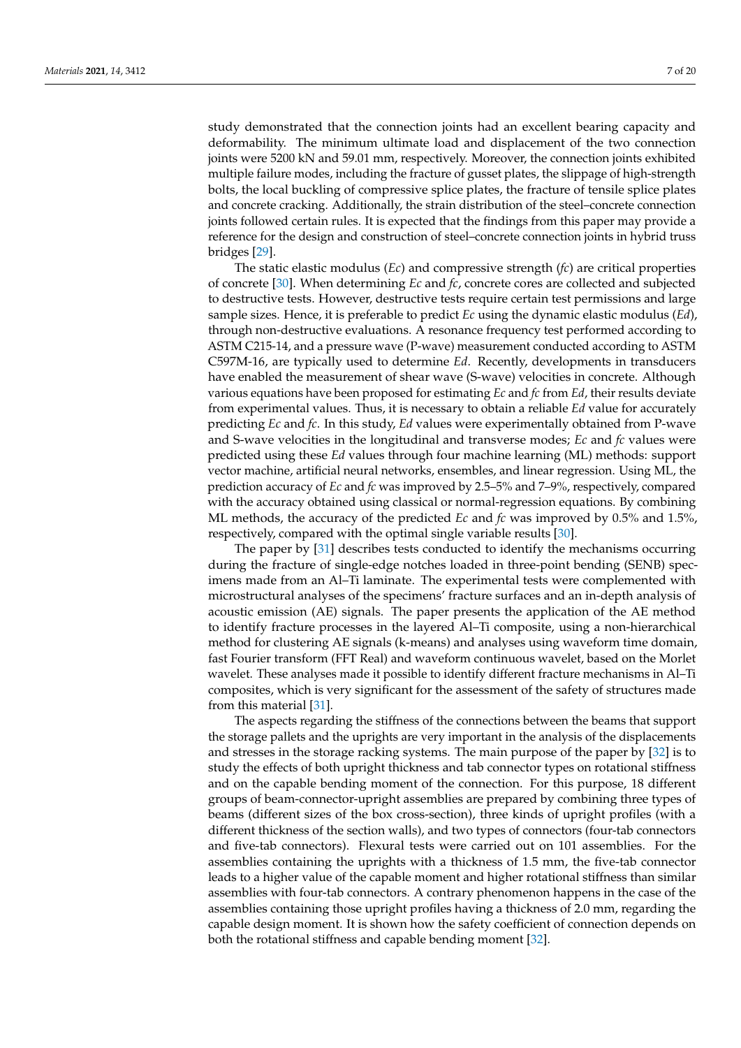study demonstrated that the connection joints had an excellent bearing capacity and deformability. The minimum ultimate load and displacement of the two connection joints were 5200 kN and 59.01 mm, respectively. Moreover, the connection joints exhibited multiple failure modes, including the fracture of gusset plates, the slippage of high-strength bolts, the local buckling of compressive splice plates, the fracture of tensile splice plates and concrete cracking. Additionally, the strain distribution of the steel–concrete connection joints followed certain rules. It is expected that the findings from this paper may provide a reference for the design and construction of steel–concrete connection joints in hybrid truss bridges [\[29\]](#page-18-11).

The static elastic modulus (*Ec*) and compressive strength (*fc*) are critical properties of concrete [\[30\]](#page-18-12). When determining *Ec* and *fc*, concrete cores are collected and subjected to destructive tests. However, destructive tests require certain test permissions and large sample sizes. Hence, it is preferable to predict *Ec* using the dynamic elastic modulus (*Ed*), through non-destructive evaluations. A resonance frequency test performed according to ASTM C215-14, and a pressure wave (P-wave) measurement conducted according to ASTM C597M-16, are typically used to determine *Ed*. Recently, developments in transducers have enabled the measurement of shear wave (S-wave) velocities in concrete. Although various equations have been proposed for estimating *Ec* and *fc* from *Ed*, their results deviate from experimental values. Thus, it is necessary to obtain a reliable *Ed* value for accurately predicting *Ec* and *fc*. In this study, *Ed* values were experimentally obtained from P-wave and S-wave velocities in the longitudinal and transverse modes; *Ec* and *fc* values were predicted using these *Ed* values through four machine learning (ML) methods: support vector machine, artificial neural networks, ensembles, and linear regression. Using ML, the prediction accuracy of *Ec* and *fc* was improved by 2.5–5% and 7–9%, respectively, compared with the accuracy obtained using classical or normal-regression equations. By combining ML methods, the accuracy of the predicted *Ec* and *fc* was improved by 0.5% and 1.5%, respectively, compared with the optimal single variable results [\[30\]](#page-18-12).

The paper by [\[31\]](#page-18-13) describes tests conducted to identify the mechanisms occurring during the fracture of single-edge notches loaded in three-point bending (SENB) specimens made from an Al–Ti laminate. The experimental tests were complemented with microstructural analyses of the specimens' fracture surfaces and an in-depth analysis of acoustic emission (AE) signals. The paper presents the application of the AE method to identify fracture processes in the layered Al–Ti composite, using a non-hierarchical method for clustering AE signals (k-means) and analyses using waveform time domain, fast Fourier transform (FFT Real) and waveform continuous wavelet, based on the Morlet wavelet. These analyses made it possible to identify different fracture mechanisms in Al–Ti composites, which is very significant for the assessment of the safety of structures made from this material [\[31\]](#page-18-13).

The aspects regarding the stiffness of the connections between the beams that support the storage pallets and the uprights are very important in the analysis of the displacements and stresses in the storage racking systems. The main purpose of the paper by [\[32\]](#page-18-14) is to study the effects of both upright thickness and tab connector types on rotational stiffness and on the capable bending moment of the connection. For this purpose, 18 different groups of beam-connector-upright assemblies are prepared by combining three types of beams (different sizes of the box cross-section), three kinds of upright profiles (with a different thickness of the section walls), and two types of connectors (four-tab connectors and five-tab connectors). Flexural tests were carried out on 101 assemblies. For the assemblies containing the uprights with a thickness of 1.5 mm, the five-tab connector leads to a higher value of the capable moment and higher rotational stiffness than similar assemblies with four-tab connectors. A contrary phenomenon happens in the case of the assemblies containing those upright profiles having a thickness of 2.0 mm, regarding the capable design moment. It is shown how the safety coefficient of connection depends on both the rotational stiffness and capable bending moment [\[32\]](#page-18-14).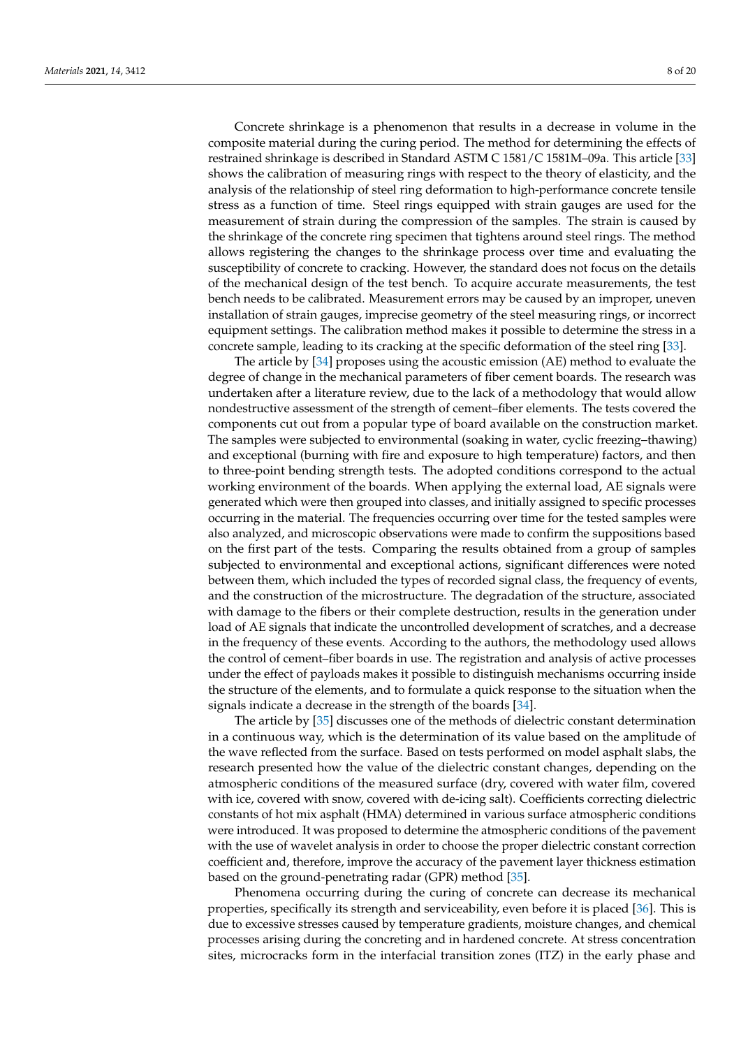Concrete shrinkage is a phenomenon that results in a decrease in volume in the composite material during the curing period. The method for determining the effects of restrained shrinkage is described in Standard ASTM C 1581/C 1581M–09a. This article [\[33\]](#page-18-15) shows the calibration of measuring rings with respect to the theory of elasticity, and the analysis of the relationship of steel ring deformation to high-performance concrete tensile stress as a function of time. Steel rings equipped with strain gauges are used for the measurement of strain during the compression of the samples. The strain is caused by the shrinkage of the concrete ring specimen that tightens around steel rings. The method allows registering the changes to the shrinkage process over time and evaluating the susceptibility of concrete to cracking. However, the standard does not focus on the details of the mechanical design of the test bench. To acquire accurate measurements, the test bench needs to be calibrated. Measurement errors may be caused by an improper, uneven installation of strain gauges, imprecise geometry of the steel measuring rings, or incorrect equipment settings. The calibration method makes it possible to determine the stress in a concrete sample, leading to its cracking at the specific deformation of the steel ring [\[33\]](#page-18-15).

The article by [\[34\]](#page-18-16) proposes using the acoustic emission (AE) method to evaluate the degree of change in the mechanical parameters of fiber cement boards. The research was undertaken after a literature review, due to the lack of a methodology that would allow nondestructive assessment of the strength of cement–fiber elements. The tests covered the components cut out from a popular type of board available on the construction market. The samples were subjected to environmental (soaking in water, cyclic freezing–thawing) and exceptional (burning with fire and exposure to high temperature) factors, and then to three-point bending strength tests. The adopted conditions correspond to the actual working environment of the boards. When applying the external load, AE signals were generated which were then grouped into classes, and initially assigned to specific processes occurring in the material. The frequencies occurring over time for the tested samples were also analyzed, and microscopic observations were made to confirm the suppositions based on the first part of the tests. Comparing the results obtained from a group of samples subjected to environmental and exceptional actions, significant differences were noted between them, which included the types of recorded signal class, the frequency of events, and the construction of the microstructure. The degradation of the structure, associated with damage to the fibers or their complete destruction, results in the generation under load of AE signals that indicate the uncontrolled development of scratches, and a decrease in the frequency of these events. According to the authors, the methodology used allows the control of cement–fiber boards in use. The registration and analysis of active processes under the effect of payloads makes it possible to distinguish mechanisms occurring inside the structure of the elements, and to formulate a quick response to the situation when the signals indicate a decrease in the strength of the boards [\[34\]](#page-18-16).

The article by [\[35\]](#page-18-17) discusses one of the methods of dielectric constant determination in a continuous way, which is the determination of its value based on the amplitude of the wave reflected from the surface. Based on tests performed on model asphalt slabs, the research presented how the value of the dielectric constant changes, depending on the atmospheric conditions of the measured surface (dry, covered with water film, covered with ice, covered with snow, covered with de-icing salt). Coefficients correcting dielectric constants of hot mix asphalt (HMA) determined in various surface atmospheric conditions were introduced. It was proposed to determine the atmospheric conditions of the pavement with the use of wavelet analysis in order to choose the proper dielectric constant correction coefficient and, therefore, improve the accuracy of the pavement layer thickness estimation based on the ground-penetrating radar (GPR) method [\[35\]](#page-18-17).

Phenomena occurring during the curing of concrete can decrease its mechanical properties, specifically its strength and serviceability, even before it is placed [\[36\]](#page-18-18). This is due to excessive stresses caused by temperature gradients, moisture changes, and chemical processes arising during the concreting and in hardened concrete. At stress concentration sites, microcracks form in the interfacial transition zones (ITZ) in the early phase and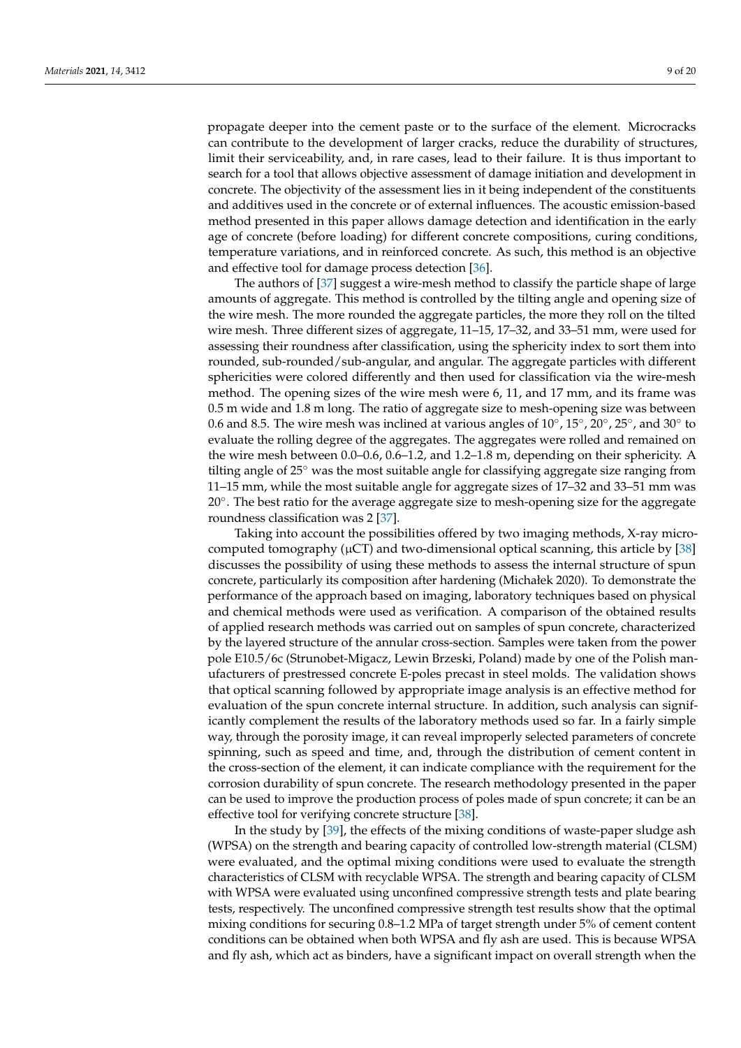propagate deeper into the cement paste or to the surface of the element. Microcracks can contribute to the development of larger cracks, reduce the durability of structures, limit their serviceability, and, in rare cases, lead to their failure. It is thus important to search for a tool that allows objective assessment of damage initiation and development in concrete. The objectivity of the assessment lies in it being independent of the constituents and additives used in the concrete or of external influences. The acoustic emission-based method presented in this paper allows damage detection and identification in the early age of concrete (before loading) for different concrete compositions, curing conditions, temperature variations, and in reinforced concrete. As such, this method is an objective and effective tool for damage process detection [\[36\]](#page-18-18).

The authors of [\[37\]](#page-18-19) suggest a wire-mesh method to classify the particle shape of large amounts of aggregate. This method is controlled by the tilting angle and opening size of the wire mesh. The more rounded the aggregate particles, the more they roll on the tilted wire mesh. Three different sizes of aggregate, 11–15, 17–32, and 33–51 mm, were used for assessing their roundness after classification, using the sphericity index to sort them into rounded, sub-rounded/sub-angular, and angular. The aggregate particles with different sphericities were colored differently and then used for classification via the wire-mesh method. The opening sizes of the wire mesh were 6, 11, and 17 mm, and its frame was 0.5 m wide and 1.8 m long. The ratio of aggregate size to mesh-opening size was between 0.6 and 8.5. The wire mesh was inclined at various angles of  $10^{\circ}$ ,  $15^{\circ}$ ,  $20^{\circ}$ ,  $25^{\circ}$ , and  $30^{\circ}$  to evaluate the rolling degree of the aggregates. The aggregates were rolled and remained on the wire mesh between 0.0–0.6, 0.6–1.2, and 1.2–1.8 m, depending on their sphericity. A tilting angle of 25◦ was the most suitable angle for classifying aggregate size ranging from 11–15 mm, while the most suitable angle for aggregate sizes of 17–32 and 33–51 mm was 20◦ . The best ratio for the average aggregate size to mesh-opening size for the aggregate roundness classification was 2 [\[37\]](#page-18-19).

Taking into account the possibilities offered by two imaging methods, X-ray microcomputed tomography ( $\mu$ CT) and two-dimensional optical scanning, this article by [\[38\]](#page-18-20) discusses the possibility of using these methods to assess the internal structure of spun concrete, particularly its composition after hardening (Michałek 2020). To demonstrate the performance of the approach based on imaging, laboratory techniques based on physical and chemical methods were used as verification. A comparison of the obtained results of applied research methods was carried out on samples of spun concrete, characterized by the layered structure of the annular cross-section. Samples were taken from the power pole E10.5/6c (Strunobet-Migacz, Lewin Brzeski, Poland) made by one of the Polish manufacturers of prestressed concrete E-poles precast in steel molds. The validation shows that optical scanning followed by appropriate image analysis is an effective method for evaluation of the spun concrete internal structure. In addition, such analysis can significantly complement the results of the laboratory methods used so far. In a fairly simple way, through the porosity image, it can reveal improperly selected parameters of concrete spinning, such as speed and time, and, through the distribution of cement content in the cross-section of the element, it can indicate compliance with the requirement for the corrosion durability of spun concrete. The research methodology presented in the paper can be used to improve the production process of poles made of spun concrete; it can be an effective tool for verifying concrete structure [\[38\]](#page-18-20).

In the study by [\[39\]](#page-18-21), the effects of the mixing conditions of waste-paper sludge ash (WPSA) on the strength and bearing capacity of controlled low-strength material (CLSM) were evaluated, and the optimal mixing conditions were used to evaluate the strength characteristics of CLSM with recyclable WPSA. The strength and bearing capacity of CLSM with WPSA were evaluated using unconfined compressive strength tests and plate bearing tests, respectively. The unconfined compressive strength test results show that the optimal mixing conditions for securing 0.8–1.2 MPa of target strength under 5% of cement content conditions can be obtained when both WPSA and fly ash are used. This is because WPSA and fly ash, which act as binders, have a significant impact on overall strength when the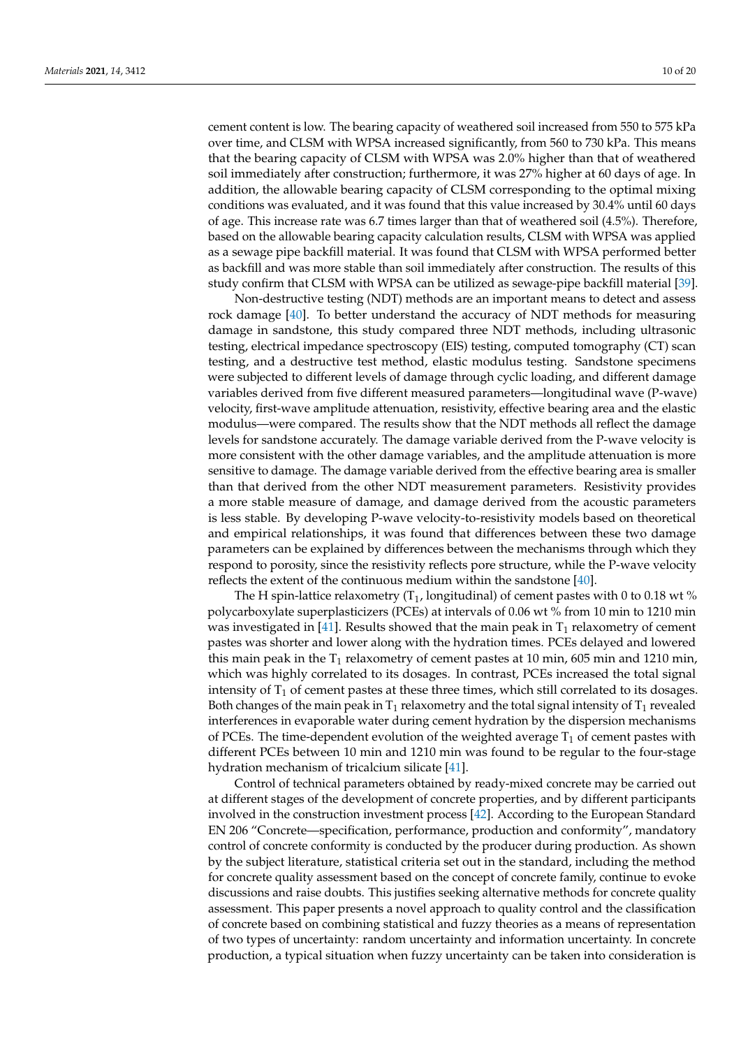cement content is low. The bearing capacity of weathered soil increased from 550 to 575 kPa over time, and CLSM with WPSA increased significantly, from 560 to 730 kPa. This means that the bearing capacity of CLSM with WPSA was 2.0% higher than that of weathered soil immediately after construction; furthermore, it was 27% higher at 60 days of age. In addition, the allowable bearing capacity of CLSM corresponding to the optimal mixing conditions was evaluated, and it was found that this value increased by 30.4% until 60 days of age. This increase rate was 6.7 times larger than that of weathered soil (4.5%). Therefore, based on the allowable bearing capacity calculation results, CLSM with WPSA was applied as a sewage pipe backfill material. It was found that CLSM with WPSA performed better as backfill and was more stable than soil immediately after construction. The results of this study confirm that CLSM with WPSA can be utilized as sewage-pipe backfill material [\[39\]](#page-18-21).

Non-destructive testing (NDT) methods are an important means to detect and assess rock damage [\[40\]](#page-18-22). To better understand the accuracy of NDT methods for measuring damage in sandstone, this study compared three NDT methods, including ultrasonic testing, electrical impedance spectroscopy (EIS) testing, computed tomography (CT) scan testing, and a destructive test method, elastic modulus testing. Sandstone specimens were subjected to different levels of damage through cyclic loading, and different damage variables derived from five different measured parameters—longitudinal wave (P-wave) velocity, first-wave amplitude attenuation, resistivity, effective bearing area and the elastic modulus—were compared. The results show that the NDT methods all reflect the damage levels for sandstone accurately. The damage variable derived from the P-wave velocity is more consistent with the other damage variables, and the amplitude attenuation is more sensitive to damage. The damage variable derived from the effective bearing area is smaller than that derived from the other NDT measurement parameters. Resistivity provides a more stable measure of damage, and damage derived from the acoustic parameters is less stable. By developing P-wave velocity-to-resistivity models based on theoretical and empirical relationships, it was found that differences between these two damage parameters can be explained by differences between the mechanisms through which they respond to porosity, since the resistivity reflects pore structure, while the P-wave velocity reflects the extent of the continuous medium within the sandstone [\[40\]](#page-18-22).

The H spin-lattice relaxometry  $(T_1)$ , longitudinal) of cement pastes with 0 to 0.18 wt % polycarboxylate superplasticizers (PCEs) at intervals of 0.06 wt % from 10 min to 1210 min was investigated in [\[41\]](#page-18-23). Results showed that the main peak in  $T_1$  relaxometry of cement pastes was shorter and lower along with the hydration times. PCEs delayed and lowered this main peak in the  $T_1$  relaxometry of cement pastes at 10 min, 605 min and 1210 min, which was highly correlated to its dosages. In contrast, PCEs increased the total signal intensity of  $T_1$  of cement pastes at these three times, which still correlated to its dosages. Both changes of the main peak in  $T_1$  relaxometry and the total signal intensity of  $T_1$  revealed interferences in evaporable water during cement hydration by the dispersion mechanisms of PCEs. The time-dependent evolution of the weighted average  $T_1$  of cement pastes with different PCEs between 10 min and 1210 min was found to be regular to the four-stage hydration mechanism of tricalcium silicate [\[41\]](#page-18-23).

Control of technical parameters obtained by ready-mixed concrete may be carried out at different stages of the development of concrete properties, and by different participants involved in the construction investment process [\[42\]](#page-18-24). According to the European Standard EN 206 "Concrete—specification, performance, production and conformity", mandatory control of concrete conformity is conducted by the producer during production. As shown by the subject literature, statistical criteria set out in the standard, including the method for concrete quality assessment based on the concept of concrete family, continue to evoke discussions and raise doubts. This justifies seeking alternative methods for concrete quality assessment. This paper presents a novel approach to quality control and the classification of concrete based on combining statistical and fuzzy theories as a means of representation of two types of uncertainty: random uncertainty and information uncertainty. In concrete production, a typical situation when fuzzy uncertainty can be taken into consideration is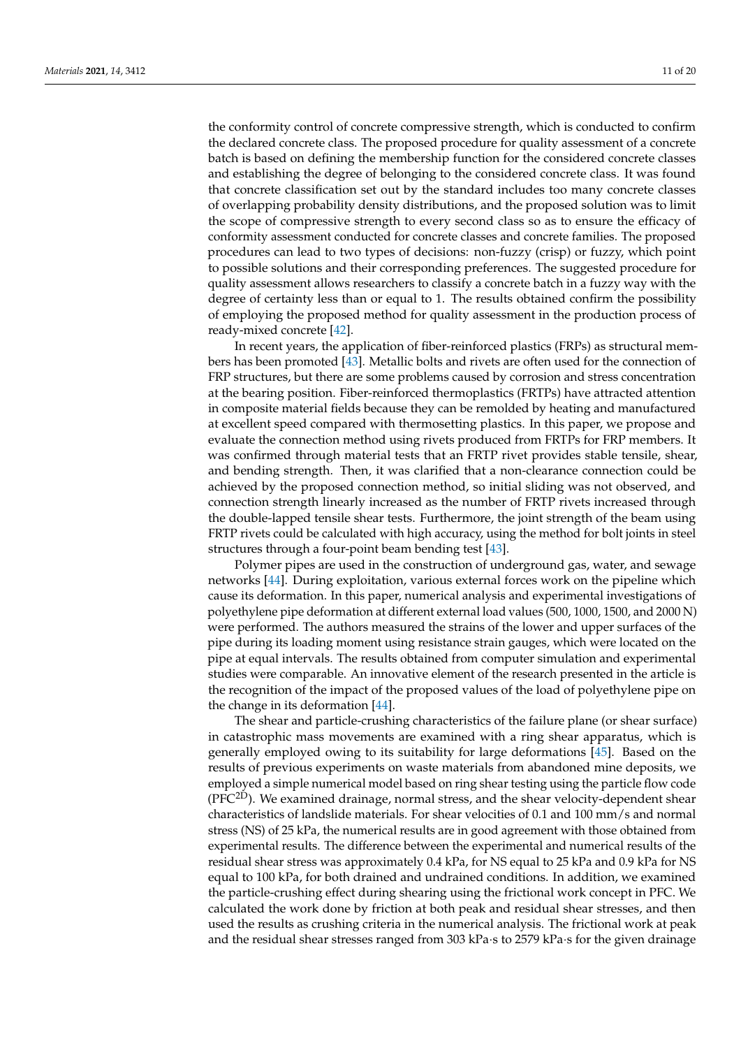the conformity control of concrete compressive strength, which is conducted to confirm the declared concrete class. The proposed procedure for quality assessment of a concrete batch is based on defining the membership function for the considered concrete classes and establishing the degree of belonging to the considered concrete class. It was found that concrete classification set out by the standard includes too many concrete classes of overlapping probability density distributions, and the proposed solution was to limit the scope of compressive strength to every second class so as to ensure the efficacy of conformity assessment conducted for concrete classes and concrete families. The proposed procedures can lead to two types of decisions: non-fuzzy (crisp) or fuzzy, which point to possible solutions and their corresponding preferences. The suggested procedure for quality assessment allows researchers to classify a concrete batch in a fuzzy way with the degree of certainty less than or equal to 1. The results obtained confirm the possibility of employing the proposed method for quality assessment in the production process of ready-mixed concrete [\[42\]](#page-18-24).

In recent years, the application of fiber-reinforced plastics (FRPs) as structural members has been promoted [\[43\]](#page-18-25). Metallic bolts and rivets are often used for the connection of FRP structures, but there are some problems caused by corrosion and stress concentration at the bearing position. Fiber-reinforced thermoplastics (FRTPs) have attracted attention in composite material fields because they can be remolded by heating and manufactured at excellent speed compared with thermosetting plastics. In this paper, we propose and evaluate the connection method using rivets produced from FRTPs for FRP members. It was confirmed through material tests that an FRTP rivet provides stable tensile, shear, and bending strength. Then, it was clarified that a non-clearance connection could be achieved by the proposed connection method, so initial sliding was not observed, and connection strength linearly increased as the number of FRTP rivets increased through the double-lapped tensile shear tests. Furthermore, the joint strength of the beam using FRTP rivets could be calculated with high accuracy, using the method for bolt joints in steel structures through a four-point beam bending test [\[43\]](#page-18-25).

Polymer pipes are used in the construction of underground gas, water, and sewage networks [\[44\]](#page-18-26). During exploitation, various external forces work on the pipeline which cause its deformation. In this paper, numerical analysis and experimental investigations of polyethylene pipe deformation at different external load values (500, 1000, 1500, and 2000 N) were performed. The authors measured the strains of the lower and upper surfaces of the pipe during its loading moment using resistance strain gauges, which were located on the pipe at equal intervals. The results obtained from computer simulation and experimental studies were comparable. An innovative element of the research presented in the article is the recognition of the impact of the proposed values of the load of polyethylene pipe on the change in its deformation [\[44\]](#page-18-26).

The shear and particle-crushing characteristics of the failure plane (or shear surface) in catastrophic mass movements are examined with a ring shear apparatus, which is generally employed owing to its suitability for large deformations [\[45\]](#page-18-27). Based on the results of previous experiments on waste materials from abandoned mine deposits, we employed a simple numerical model based on ring shear testing using the particle flow code (PFC<sup>2D</sup>). We examined drainage, normal stress, and the shear velocity-dependent shear characteristics of landslide materials. For shear velocities of 0.1 and 100 mm/s and normal stress (NS) of 25 kPa, the numerical results are in good agreement with those obtained from experimental results. The difference between the experimental and numerical results of the residual shear stress was approximately 0.4 kPa, for NS equal to 25 kPa and 0.9 kPa for NS equal to 100 kPa, for both drained and undrained conditions. In addition, we examined the particle-crushing effect during shearing using the frictional work concept in PFC. We calculated the work done by friction at both peak and residual shear stresses, and then used the results as crushing criteria in the numerical analysis. The frictional work at peak and the residual shear stresses ranged from 303 kPa·s to 2579 kPa·s for the given drainage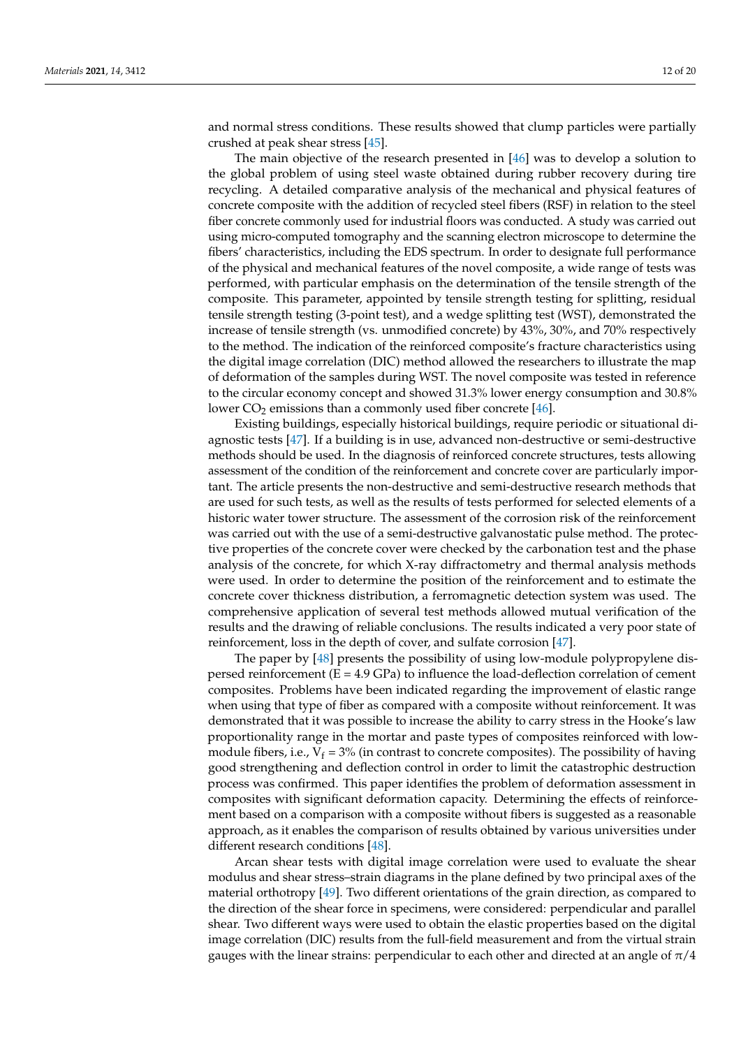and normal stress conditions. These results showed that clump particles were partially crushed at peak shear stress [\[45\]](#page-18-27).

The main objective of the research presented in [\[46\]](#page-19-0) was to develop a solution to the global problem of using steel waste obtained during rubber recovery during tire recycling. A detailed comparative analysis of the mechanical and physical features of concrete composite with the addition of recycled steel fibers (RSF) in relation to the steel fiber concrete commonly used for industrial floors was conducted. A study was carried out using micro-computed tomography and the scanning electron microscope to determine the fibers' characteristics, including the EDS spectrum. In order to designate full performance of the physical and mechanical features of the novel composite, a wide range of tests was performed, with particular emphasis on the determination of the tensile strength of the composite. This parameter, appointed by tensile strength testing for splitting, residual tensile strength testing (3-point test), and a wedge splitting test (WST), demonstrated the increase of tensile strength (vs. unmodified concrete) by 43%, 30%, and 70% respectively to the method. The indication of the reinforced composite's fracture characteristics using the digital image correlation (DIC) method allowed the researchers to illustrate the map of deformation of the samples during WST. The novel composite was tested in reference to the circular economy concept and showed 31.3% lower energy consumption and 30.8% lower  $CO<sub>2</sub>$  emissions than a commonly used fiber concrete [\[46\]](#page-19-0).

Existing buildings, especially historical buildings, require periodic or situational diagnostic tests [\[47\]](#page-19-1). If a building is in use, advanced non-destructive or semi-destructive methods should be used. In the diagnosis of reinforced concrete structures, tests allowing assessment of the condition of the reinforcement and concrete cover are particularly important. The article presents the non-destructive and semi-destructive research methods that are used for such tests, as well as the results of tests performed for selected elements of a historic water tower structure. The assessment of the corrosion risk of the reinforcement was carried out with the use of a semi-destructive galvanostatic pulse method. The protective properties of the concrete cover were checked by the carbonation test and the phase analysis of the concrete, for which X-ray diffractometry and thermal analysis methods were used. In order to determine the position of the reinforcement and to estimate the concrete cover thickness distribution, a ferromagnetic detection system was used. The comprehensive application of several test methods allowed mutual verification of the results and the drawing of reliable conclusions. The results indicated a very poor state of reinforcement, loss in the depth of cover, and sulfate corrosion [\[47\]](#page-19-1).

The paper by [\[48\]](#page-19-2) presents the possibility of using low-module polypropylene dispersed reinforcement  $(E = 4.9 \text{ GPa})$  to influence the load-deflection correlation of cement composites. Problems have been indicated regarding the improvement of elastic range when using that type of fiber as compared with a composite without reinforcement. It was demonstrated that it was possible to increase the ability to carry stress in the Hooke's law proportionality range in the mortar and paste types of composites reinforced with lowmodule fibers, i.e.,  $V_f = 3\%$  (in contrast to concrete composites). The possibility of having good strengthening and deflection control in order to limit the catastrophic destruction process was confirmed. This paper identifies the problem of deformation assessment in composites with significant deformation capacity. Determining the effects of reinforcement based on a comparison with a composite without fibers is suggested as a reasonable approach, as it enables the comparison of results obtained by various universities under different research conditions [\[48\]](#page-19-2).

Arcan shear tests with digital image correlation were used to evaluate the shear modulus and shear stress–strain diagrams in the plane defined by two principal axes of the material orthotropy [\[49\]](#page-19-3). Two different orientations of the grain direction, as compared to the direction of the shear force in specimens, were considered: perpendicular and parallel shear. Two different ways were used to obtain the elastic properties based on the digital image correlation (DIC) results from the full-field measurement and from the virtual strain gauges with the linear strains: perpendicular to each other and directed at an angle of  $\pi/4$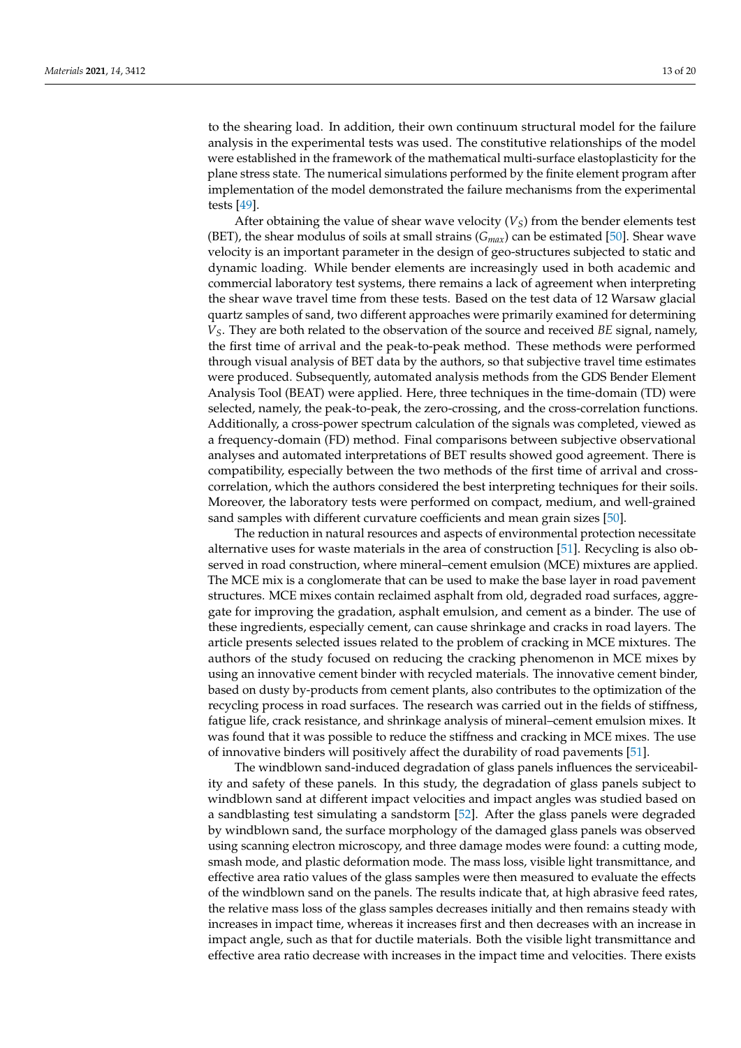to the shearing load. In addition, their own continuum structural model for the failure analysis in the experimental tests was used. The constitutive relationships of the model were established in the framework of the mathematical multi-surface elastoplasticity for the plane stress state. The numerical simulations performed by the finite element program after implementation of the model demonstrated the failure mechanisms from the experimental tests [\[49\]](#page-19-3).

After obtaining the value of shear wave velocity (*VS*) from the bender elements test (BET), the shear modulus of soils at small strains (*Gmax*) can be estimated [\[50\]](#page-19-4). Shear wave velocity is an important parameter in the design of geo-structures subjected to static and dynamic loading. While bender elements are increasingly used in both academic and commercial laboratory test systems, there remains a lack of agreement when interpreting the shear wave travel time from these tests. Based on the test data of 12 Warsaw glacial quartz samples of sand, two different approaches were primarily examined for determining *VS*. They are both related to the observation of the source and received *BE* signal, namely, the first time of arrival and the peak-to-peak method. These methods were performed through visual analysis of BET data by the authors, so that subjective travel time estimates were produced. Subsequently, automated analysis methods from the GDS Bender Element Analysis Tool (BEAT) were applied. Here, three techniques in the time-domain (TD) were selected, namely, the peak-to-peak, the zero-crossing, and the cross-correlation functions. Additionally, a cross-power spectrum calculation of the signals was completed, viewed as a frequency-domain (FD) method. Final comparisons between subjective observational analyses and automated interpretations of BET results showed good agreement. There is compatibility, especially between the two methods of the first time of arrival and crosscorrelation, which the authors considered the best interpreting techniques for their soils. Moreover, the laboratory tests were performed on compact, medium, and well-grained sand samples with different curvature coefficients and mean grain sizes [\[50\]](#page-19-4).

The reduction in natural resources and aspects of environmental protection necessitate alternative uses for waste materials in the area of construction [\[51\]](#page-19-5). Recycling is also observed in road construction, where mineral–cement emulsion (MCE) mixtures are applied. The MCE mix is a conglomerate that can be used to make the base layer in road pavement structures. MCE mixes contain reclaimed asphalt from old, degraded road surfaces, aggregate for improving the gradation, asphalt emulsion, and cement as a binder. The use of these ingredients, especially cement, can cause shrinkage and cracks in road layers. The article presents selected issues related to the problem of cracking in MCE mixtures. The authors of the study focused on reducing the cracking phenomenon in MCE mixes by using an innovative cement binder with recycled materials. The innovative cement binder, based on dusty by-products from cement plants, also contributes to the optimization of the recycling process in road surfaces. The research was carried out in the fields of stiffness, fatigue life, crack resistance, and shrinkage analysis of mineral–cement emulsion mixes. It was found that it was possible to reduce the stiffness and cracking in MCE mixes. The use of innovative binders will positively affect the durability of road pavements [\[51\]](#page-19-5).

The windblown sand-induced degradation of glass panels influences the serviceability and safety of these panels. In this study, the degradation of glass panels subject to windblown sand at different impact velocities and impact angles was studied based on a sandblasting test simulating a sandstorm [\[52\]](#page-19-6). After the glass panels were degraded by windblown sand, the surface morphology of the damaged glass panels was observed using scanning electron microscopy, and three damage modes were found: a cutting mode, smash mode, and plastic deformation mode. The mass loss, visible light transmittance, and effective area ratio values of the glass samples were then measured to evaluate the effects of the windblown sand on the panels. The results indicate that, at high abrasive feed rates, the relative mass loss of the glass samples decreases initially and then remains steady with increases in impact time, whereas it increases first and then decreases with an increase in impact angle, such as that for ductile materials. Both the visible light transmittance and effective area ratio decrease with increases in the impact time and velocities. There exists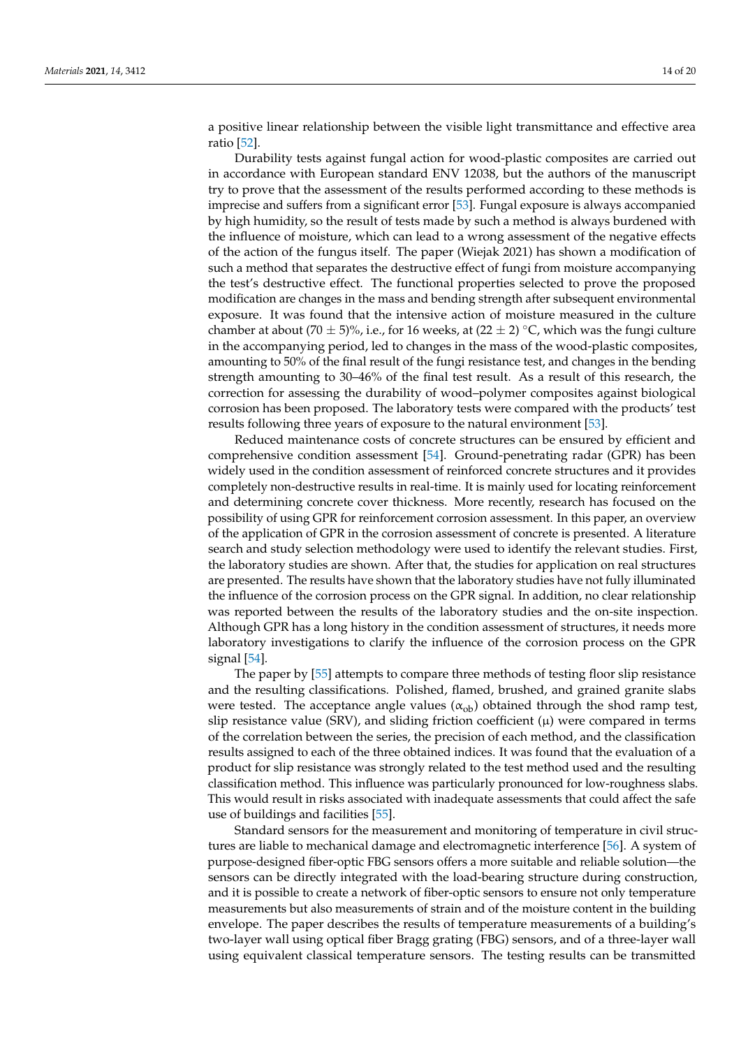a positive linear relationship between the visible light transmittance and effective area ratio [\[52\]](#page-19-6).

Durability tests against fungal action for wood-plastic composites are carried out in accordance with European standard ENV 12038, but the authors of the manuscript try to prove that the assessment of the results performed according to these methods is imprecise and suffers from a significant error [\[53\]](#page-19-7). Fungal exposure is always accompanied by high humidity, so the result of tests made by such a method is always burdened with the influence of moisture, which can lead to a wrong assessment of the negative effects of the action of the fungus itself. The paper (Wiejak 2021) has shown a modification of such a method that separates the destructive effect of fungi from moisture accompanying the test's destructive effect. The functional properties selected to prove the proposed modification are changes in the mass and bending strength after subsequent environmental exposure. It was found that the intensive action of moisture measured in the culture chamber at about (70  $\pm$  5)%, i.e., for 16 weeks, at (22  $\pm$  2) °C, which was the fungi culture in the accompanying period, led to changes in the mass of the wood-plastic composites, amounting to 50% of the final result of the fungi resistance test, and changes in the bending strength amounting to 30–46% of the final test result. As a result of this research, the correction for assessing the durability of wood–polymer composites against biological corrosion has been proposed. The laboratory tests were compared with the products' test results following three years of exposure to the natural environment [\[53\]](#page-19-7).

Reduced maintenance costs of concrete structures can be ensured by efficient and comprehensive condition assessment [\[54\]](#page-19-8). Ground-penetrating radar (GPR) has been widely used in the condition assessment of reinforced concrete structures and it provides completely non-destructive results in real-time. It is mainly used for locating reinforcement and determining concrete cover thickness. More recently, research has focused on the possibility of using GPR for reinforcement corrosion assessment. In this paper, an overview of the application of GPR in the corrosion assessment of concrete is presented. A literature search and study selection methodology were used to identify the relevant studies. First, the laboratory studies are shown. After that, the studies for application on real structures are presented. The results have shown that the laboratory studies have not fully illuminated the influence of the corrosion process on the GPR signal. In addition, no clear relationship was reported between the results of the laboratory studies and the on-site inspection. Although GPR has a long history in the condition assessment of structures, it needs more laboratory investigations to clarify the influence of the corrosion process on the GPR signal [\[54\]](#page-19-8).

The paper by [\[55\]](#page-19-9) attempts to compare three methods of testing floor slip resistance and the resulting classifications. Polished, flamed, brushed, and grained granite slabs were tested. The acceptance angle values ( $\alpha_{ob}$ ) obtained through the shod ramp test, slip resistance value (SRV), and sliding friction coefficient  $(\mu)$  were compared in terms of the correlation between the series, the precision of each method, and the classification results assigned to each of the three obtained indices. It was found that the evaluation of a product for slip resistance was strongly related to the test method used and the resulting classification method. This influence was particularly pronounced for low-roughness slabs. This would result in risks associated with inadequate assessments that could affect the safe use of buildings and facilities [\[55\]](#page-19-9).

Standard sensors for the measurement and monitoring of temperature in civil structures are liable to mechanical damage and electromagnetic interference [\[56\]](#page-19-10). A system of purpose-designed fiber-optic FBG sensors offers a more suitable and reliable solution—the sensors can be directly integrated with the load-bearing structure during construction, and it is possible to create a network of fiber-optic sensors to ensure not only temperature measurements but also measurements of strain and of the moisture content in the building envelope. The paper describes the results of temperature measurements of a building's two-layer wall using optical fiber Bragg grating (FBG) sensors, and of a three-layer wall using equivalent classical temperature sensors. The testing results can be transmitted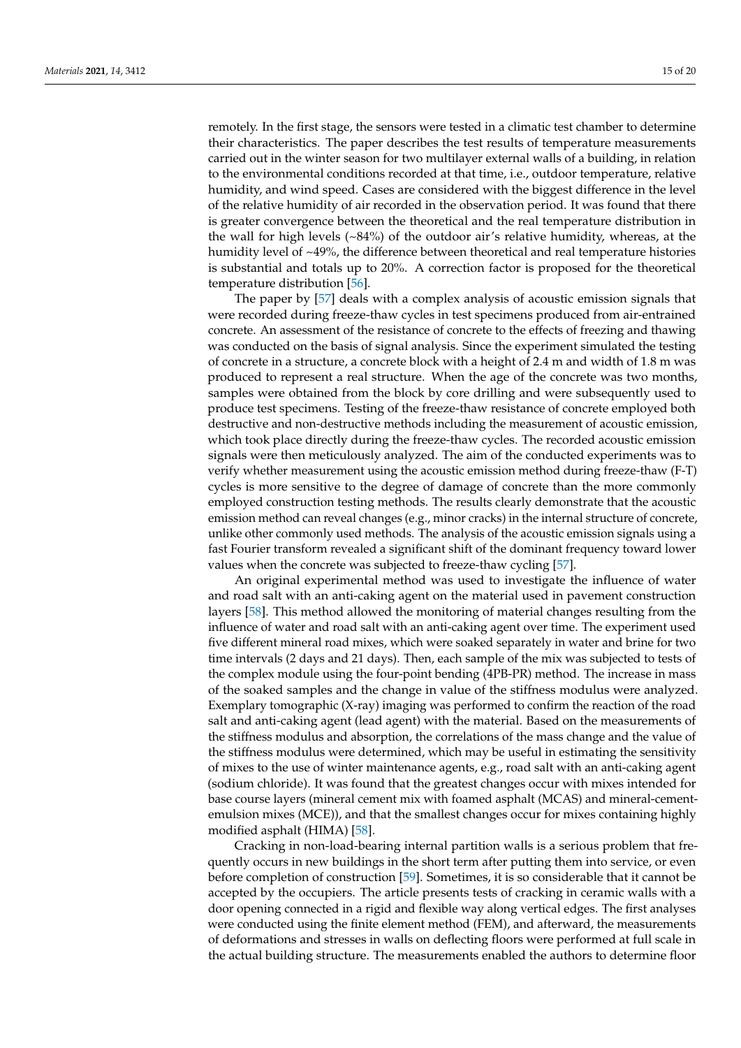remotely. In the first stage, the sensors were tested in a climatic test chamber to determine their characteristics. The paper describes the test results of temperature measurements carried out in the winter season for two multilayer external walls of a building, in relation to the environmental conditions recorded at that time, i.e., outdoor temperature, relative humidity, and wind speed. Cases are considered with the biggest difference in the level of the relative humidity of air recorded in the observation period. It was found that there is greater convergence between the theoretical and the real temperature distribution in the wall for high levels (~84%) of the outdoor air's relative humidity, whereas, at the humidity level of ~49%, the difference between theoretical and real temperature histories is substantial and totals up to 20%. A correction factor is proposed for the theoretical temperature distribution [\[56\]](#page-19-10).

The paper by [\[57\]](#page-19-11) deals with a complex analysis of acoustic emission signals that were recorded during freeze-thaw cycles in test specimens produced from air-entrained concrete. An assessment of the resistance of concrete to the effects of freezing and thawing was conducted on the basis of signal analysis. Since the experiment simulated the testing of concrete in a structure, a concrete block with a height of 2.4 m and width of 1.8 m was produced to represent a real structure. When the age of the concrete was two months, samples were obtained from the block by core drilling and were subsequently used to produce test specimens. Testing of the freeze-thaw resistance of concrete employed both destructive and non-destructive methods including the measurement of acoustic emission, which took place directly during the freeze-thaw cycles. The recorded acoustic emission signals were then meticulously analyzed. The aim of the conducted experiments was to verify whether measurement using the acoustic emission method during freeze-thaw (F-T) cycles is more sensitive to the degree of damage of concrete than the more commonly employed construction testing methods. The results clearly demonstrate that the acoustic emission method can reveal changes (e.g., minor cracks) in the internal structure of concrete, unlike other commonly used methods. The analysis of the acoustic emission signals using a fast Fourier transform revealed a significant shift of the dominant frequency toward lower values when the concrete was subjected to freeze-thaw cycling [\[57\]](#page-19-11).

An original experimental method was used to investigate the influence of water and road salt with an anti-caking agent on the material used in pavement construction layers [\[58\]](#page-19-12). This method allowed the monitoring of material changes resulting from the influence of water and road salt with an anti-caking agent over time. The experiment used five different mineral road mixes, which were soaked separately in water and brine for two time intervals (2 days and 21 days). Then, each sample of the mix was subjected to tests of the complex module using the four-point bending (4PB-PR) method. The increase in mass of the soaked samples and the change in value of the stiffness modulus were analyzed. Exemplary tomographic (X-ray) imaging was performed to confirm the reaction of the road salt and anti-caking agent (lead agent) with the material. Based on the measurements of the stiffness modulus and absorption, the correlations of the mass change and the value of the stiffness modulus were determined, which may be useful in estimating the sensitivity of mixes to the use of winter maintenance agents, e.g., road salt with an anti-caking agent (sodium chloride). It was found that the greatest changes occur with mixes intended for base course layers (mineral cement mix with foamed asphalt (MCAS) and mineral-cementemulsion mixes (MCE)), and that the smallest changes occur for mixes containing highly modified asphalt (HIMA) [\[58\]](#page-19-12).

Cracking in non-load-bearing internal partition walls is a serious problem that frequently occurs in new buildings in the short term after putting them into service, or even before completion of construction [\[59\]](#page-19-13). Sometimes, it is so considerable that it cannot be accepted by the occupiers. The article presents tests of cracking in ceramic walls with a door opening connected in a rigid and flexible way along vertical edges. The first analyses were conducted using the finite element method (FEM), and afterward, the measurements of deformations and stresses in walls on deflecting floors were performed at full scale in the actual building structure. The measurements enabled the authors to determine floor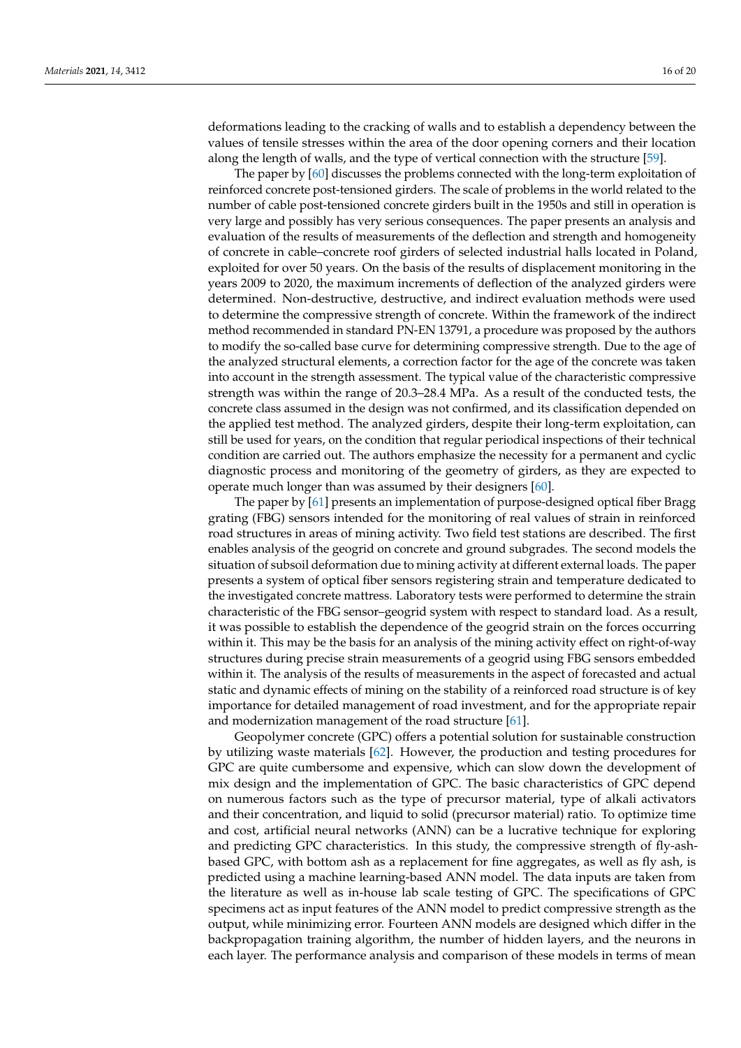deformations leading to the cracking of walls and to establish a dependency between the values of tensile stresses within the area of the door opening corners and their location along the length of walls, and the type of vertical connection with the structure [\[59\]](#page-19-13).

The paper by [\[60\]](#page-19-14) discusses the problems connected with the long-term exploitation of reinforced concrete post-tensioned girders. The scale of problems in the world related to the number of cable post-tensioned concrete girders built in the 1950s and still in operation is very large and possibly has very serious consequences. The paper presents an analysis and evaluation of the results of measurements of the deflection and strength and homogeneity of concrete in cable–concrete roof girders of selected industrial halls located in Poland, exploited for over 50 years. On the basis of the results of displacement monitoring in the years 2009 to 2020, the maximum increments of deflection of the analyzed girders were determined. Non-destructive, destructive, and indirect evaluation methods were used to determine the compressive strength of concrete. Within the framework of the indirect method recommended in standard PN-EN 13791, a procedure was proposed by the authors to modify the so-called base curve for determining compressive strength. Due to the age of the analyzed structural elements, a correction factor for the age of the concrete was taken into account in the strength assessment. The typical value of the characteristic compressive strength was within the range of 20.3–28.4 MPa. As a result of the conducted tests, the concrete class assumed in the design was not confirmed, and its classification depended on the applied test method. The analyzed girders, despite their long-term exploitation, can still be used for years, on the condition that regular periodical inspections of their technical condition are carried out. The authors emphasize the necessity for a permanent and cyclic diagnostic process and monitoring of the geometry of girders, as they are expected to operate much longer than was assumed by their designers [\[60\]](#page-19-14).

The paper by [\[61\]](#page-19-15) presents an implementation of purpose-designed optical fiber Bragg grating (FBG) sensors intended for the monitoring of real values of strain in reinforced road structures in areas of mining activity. Two field test stations are described. The first enables analysis of the geogrid on concrete and ground subgrades. The second models the situation of subsoil deformation due to mining activity at different external loads. The paper presents a system of optical fiber sensors registering strain and temperature dedicated to the investigated concrete mattress. Laboratory tests were performed to determine the strain characteristic of the FBG sensor–geogrid system with respect to standard load. As a result, it was possible to establish the dependence of the geogrid strain on the forces occurring within it. This may be the basis for an analysis of the mining activity effect on right-of-way structures during precise strain measurements of a geogrid using FBG sensors embedded within it. The analysis of the results of measurements in the aspect of forecasted and actual static and dynamic effects of mining on the stability of a reinforced road structure is of key importance for detailed management of road investment, and for the appropriate repair and modernization management of the road structure [\[61\]](#page-19-15).

Geopolymer concrete (GPC) offers a potential solution for sustainable construction by utilizing waste materials [\[62\]](#page-19-16). However, the production and testing procedures for GPC are quite cumbersome and expensive, which can slow down the development of mix design and the implementation of GPC. The basic characteristics of GPC depend on numerous factors such as the type of precursor material, type of alkali activators and their concentration, and liquid to solid (precursor material) ratio. To optimize time and cost, artificial neural networks (ANN) can be a lucrative technique for exploring and predicting GPC characteristics. In this study, the compressive strength of fly-ashbased GPC, with bottom ash as a replacement for fine aggregates, as well as fly ash, is predicted using a machine learning-based ANN model. The data inputs are taken from the literature as well as in-house lab scale testing of GPC. The specifications of GPC specimens act as input features of the ANN model to predict compressive strength as the output, while minimizing error. Fourteen ANN models are designed which differ in the backpropagation training algorithm, the number of hidden layers, and the neurons in each layer. The performance analysis and comparison of these models in terms of mean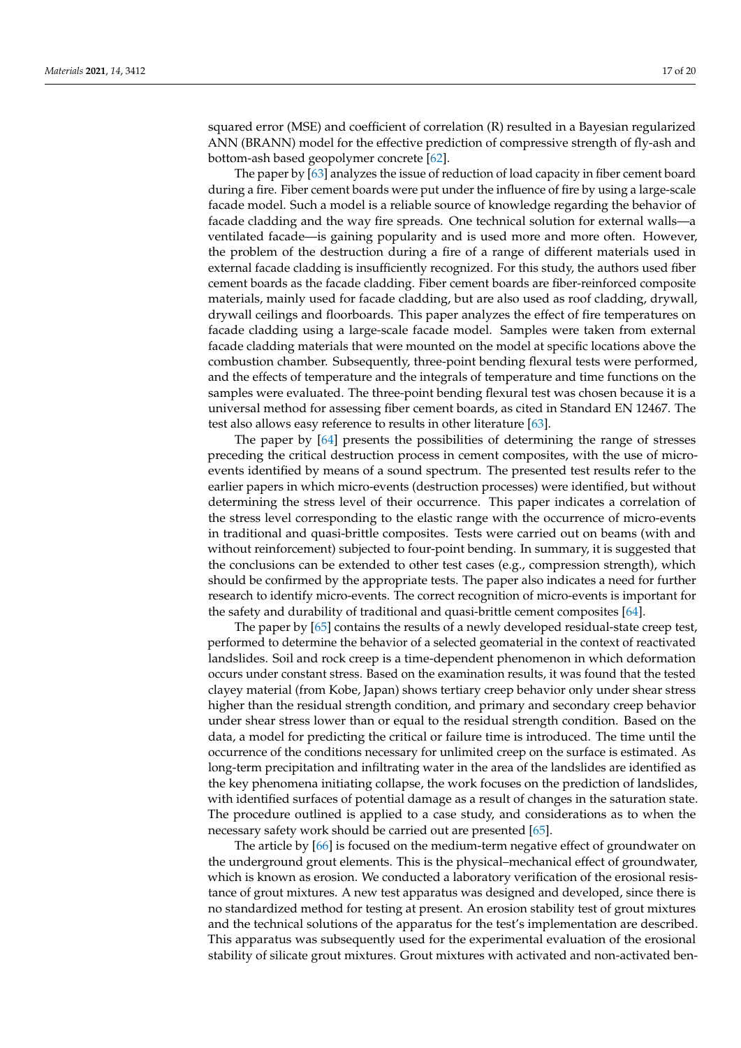squared error (MSE) and coefficient of correlation (R) resulted in a Bayesian regularized ANN (BRANN) model for the effective prediction of compressive strength of fly-ash and bottom-ash based geopolymer concrete [\[62\]](#page-19-16).

The paper by [\[63\]](#page-19-17) analyzes the issue of reduction of load capacity in fiber cement board during a fire. Fiber cement boards were put under the influence of fire by using a large-scale facade model. Such a model is a reliable source of knowledge regarding the behavior of facade cladding and the way fire spreads. One technical solution for external walls—a ventilated facade—is gaining popularity and is used more and more often. However, the problem of the destruction during a fire of a range of different materials used in external facade cladding is insufficiently recognized. For this study, the authors used fiber cement boards as the facade cladding. Fiber cement boards are fiber-reinforced composite materials, mainly used for facade cladding, but are also used as roof cladding, drywall, drywall ceilings and floorboards. This paper analyzes the effect of fire temperatures on facade cladding using a large-scale facade model. Samples were taken from external facade cladding materials that were mounted on the model at specific locations above the combustion chamber. Subsequently, three-point bending flexural tests were performed, and the effects of temperature and the integrals of temperature and time functions on the samples were evaluated. The three-point bending flexural test was chosen because it is a universal method for assessing fiber cement boards, as cited in Standard EN 12467. The test also allows easy reference to results in other literature [\[63\]](#page-19-17).

The paper by [\[64\]](#page-19-18) presents the possibilities of determining the range of stresses preceding the critical destruction process in cement composites, with the use of microevents identified by means of a sound spectrum. The presented test results refer to the earlier papers in which micro-events (destruction processes) were identified, but without determining the stress level of their occurrence. This paper indicates a correlation of the stress level corresponding to the elastic range with the occurrence of micro-events in traditional and quasi-brittle composites. Tests were carried out on beams (with and without reinforcement) subjected to four-point bending. In summary, it is suggested that the conclusions can be extended to other test cases (e.g., compression strength), which should be confirmed by the appropriate tests. The paper also indicates a need for further research to identify micro-events. The correct recognition of micro-events is important for the safety and durability of traditional and quasi-brittle cement composites [\[64\]](#page-19-18).

The paper by [\[65\]](#page-19-19) contains the results of a newly developed residual-state creep test, performed to determine the behavior of a selected geomaterial in the context of reactivated landslides. Soil and rock creep is a time-dependent phenomenon in which deformation occurs under constant stress. Based on the examination results, it was found that the tested clayey material (from Kobe, Japan) shows tertiary creep behavior only under shear stress higher than the residual strength condition, and primary and secondary creep behavior under shear stress lower than or equal to the residual strength condition. Based on the data, a model for predicting the critical or failure time is introduced. The time until the occurrence of the conditions necessary for unlimited creep on the surface is estimated. As long-term precipitation and infiltrating water in the area of the landslides are identified as the key phenomena initiating collapse, the work focuses on the prediction of landslides, with identified surfaces of potential damage as a result of changes in the saturation state. The procedure outlined is applied to a case study, and considerations as to when the necessary safety work should be carried out are presented [\[65\]](#page-19-19).

The article by [\[66\]](#page-19-20) is focused on the medium-term negative effect of groundwater on the underground grout elements. This is the physical–mechanical effect of groundwater, which is known as erosion. We conducted a laboratory verification of the erosional resistance of grout mixtures. A new test apparatus was designed and developed, since there is no standardized method for testing at present. An erosion stability test of grout mixtures and the technical solutions of the apparatus for the test's implementation are described. This apparatus was subsequently used for the experimental evaluation of the erosional stability of silicate grout mixtures. Grout mixtures with activated and non-activated ben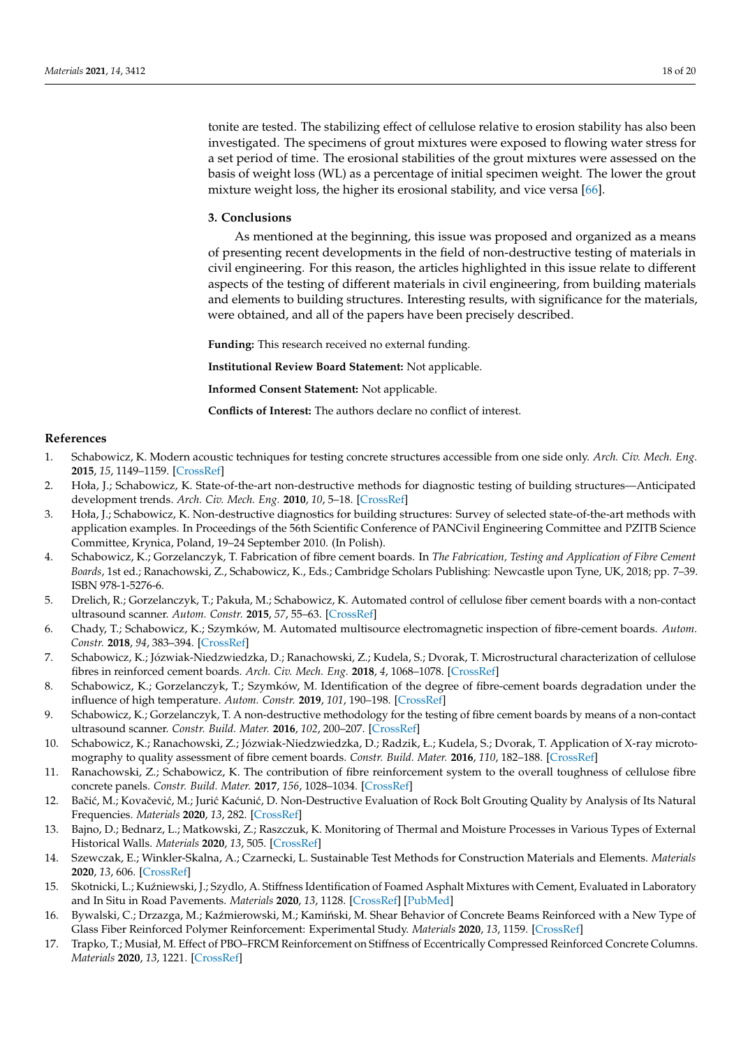tonite are tested. The stabilizing effect of cellulose relative to erosion stability has also been investigated. The specimens of grout mixtures were exposed to flowing water stress for a set period of time. The erosional stabilities of the grout mixtures were assessed on the basis of weight loss (WL) as a percentage of initial specimen weight. The lower the grout mixture weight loss, the higher its erosional stability, and vice versa [\[66\]](#page-19-20).

#### **3. Conclusions**

As mentioned at the beginning, this issue was proposed and organized as a means of presenting recent developments in the field of non-destructive testing of materials in civil engineering. For this reason, the articles highlighted in this issue relate to different aspects of the testing of different materials in civil engineering, from building materials and elements to building structures. Interesting results, with significance for the materials, were obtained, and all of the papers have been precisely described.

**Funding:** This research received no external funding.

**Institutional Review Board Statement:** Not applicable.

**Informed Consent Statement:** Not applicable.

**Conflicts of Interest:** The authors declare no conflict of interest.

#### **References**

- <span id="page-17-0"></span>1. Schabowicz, K. Modern acoustic techniques for testing concrete structures accessible from one side only. *Arch. Civ. Mech. Eng.* **2015**, *15*, 1149–1159. [\[CrossRef\]](http://doi.org/10.1016/j.acme.2014.10.001)
- 2. Hoła, J.; Schabowicz, K. State-of-the-art non-destructive methods for diagnostic testing of building structures—Anticipated development trends. *Arch. Civ. Mech. Eng.* **2010**, *10*, 5–18. [\[CrossRef\]](http://doi.org/10.1016/S1644-9665(12)60133-2)
- <span id="page-17-1"></span>3. Hoła, J.; Schabowicz, K. Non-destructive diagnostics for building structures: Survey of selected state-of-the-art methods with application examples. In Proceedings of the 56th Scientific Conference of PANCivil Engineering Committee and PZITB Science Committee, Krynica, Poland, 19–24 September 2010. (In Polish).
- <span id="page-17-2"></span>4. Schabowicz, K.; Gorzelanczyk, T. Fabrication of fibre cement boards. In *The Fabrication, Testing and Application of Fibre Cement Boards*, 1st ed.; Ranachowski, Z., Schabowicz, K., Eds.; Cambridge Scholars Publishing: Newcastle upon Tyne, UK, 2018; pp. 7–39. ISBN 978-1-5276-6.
- 5. Drelich, R.; Gorzelanczyk, T.; Pakuła, M.; Schabowicz, K. Automated control of cellulose fiber cement boards with a non-contact ultrasound scanner. *Autom. Constr.* **2015**, *57*, 55–63. [\[CrossRef\]](http://doi.org/10.1016/j.autcon.2015.04.017)
- <span id="page-17-3"></span>6. Chady, T.; Schabowicz, K.; Szymków, M. Automated multisource electromagnetic inspection of fibre-cement boards. *Autom. Constr.* **2018**, *94*, 383–394. [\[CrossRef\]](http://doi.org/10.1016/j.autcon.2018.07.018)
- <span id="page-17-4"></span>7. Schabowicz, K.; Józwiak-Niedzwiedzka, D.; Ranachowski, Z.; Kudela, S.; Dvorak, T. Microstructural characterization of cellulose fibres in reinforced cement boards. *Arch. Civ. Mech. Eng.* **2018**, *4*, 1068–1078. [\[CrossRef\]](http://doi.org/10.1016/j.acme.2018.01.018)
- 8. Schabowicz, K.; Gorzelanczyk, T.; Szymków, M. Identification of the degree of fibre-cement boards degradation under the influence of high temperature. *Autom. Constr.* **2019**, *101*, 190–198. [\[CrossRef\]](http://doi.org/10.1016/j.autcon.2019.01.021)
- <span id="page-17-5"></span>9. Schabowicz, K.; Gorzelanczyk, T. A non-destructive methodology for the testing of fibre cement boards by means of a non-contact ultrasound scanner. *Constr. Build. Mater.* **2016**, *102*, 200–207. [\[CrossRef\]](http://doi.org/10.1016/j.conbuildmat.2015.10.170)
- <span id="page-17-6"></span>10. Schabowicz, K.; Ranachowski, Z.; Józwiak-Niedzwiedzka, D.; Radzik, Ł.; Kudela, S.; Dvorak, T. Application of X-ray microtomography to quality assessment of fibre cement boards. *Constr. Build. Mater.* **2016**, *110*, 182–188. [\[CrossRef\]](http://doi.org/10.1016/j.conbuildmat.2016.02.035)
- <span id="page-17-7"></span>11. Ranachowski, Z.; Schabowicz, K. The contribution of fibre reinforcement system to the overall toughness of cellulose fibre concrete panels. *Constr. Build. Mater.* **2017**, *156*, 1028–1034. [\[CrossRef\]](http://doi.org/10.1016/j.conbuildmat.2017.09.067)
- <span id="page-17-8"></span>12. Bačić, M.; Kovačević, M.; Jurić Kaćunić, D. Non-Destructive Evaluation of Rock Bolt Grouting Quality by Analysis of Its Natural Frequencies. *Materials* **2020**, *13*, 282. [\[CrossRef\]](http://doi.org/10.3390/ma13020282)
- <span id="page-17-9"></span>13. Bajno, D.; Bednarz, L.; Matkowski, Z.; Raszczuk, K. Monitoring of Thermal and Moisture Processes in Various Types of External Historical Walls. *Materials* **2020**, *13*, 505. [\[CrossRef\]](http://doi.org/10.3390/ma13030505)
- <span id="page-17-10"></span>14. Szewczak, E.; Winkler-Skalna, A.; Czarnecki, L. Sustainable Test Methods for Construction Materials and Elements. *Materials* **2020**, *13*, 606. [\[CrossRef\]](http://doi.org/10.3390/ma13030606)
- <span id="page-17-11"></span>15. Skotnicki, L.; Kuźniewski, J.; Szydlo, A. Stiffness Identification of Foamed Asphalt Mixtures with Cement, Evaluated in Laboratory and In Situ in Road Pavements. *Materials* **2020**, *13*, 1128. [\[CrossRef\]](http://doi.org/10.3390/ma13051128) [\[PubMed\]](http://www.ncbi.nlm.nih.gov/pubmed/32138248)
- <span id="page-17-12"></span>16. Bywalski, C.; Drzazga, M.; Kaźmierowski, M.; Kamiński, M. Shear Behavior of Concrete Beams Reinforced with a New Type of Glass Fiber Reinforced Polymer Reinforcement: Experimental Study. *Materials* **2020**, *13*, 1159. [\[CrossRef\]](http://doi.org/10.3390/ma13051159)
- <span id="page-17-13"></span>17. Trapko, T.; Musiał, M. Effect of PBO–FRCM Reinforcement on Stiffness of Eccentrically Compressed Reinforced Concrete Columns. *Materials* **2020**, *13*, 1221. [\[CrossRef\]](http://doi.org/10.3390/ma13051221)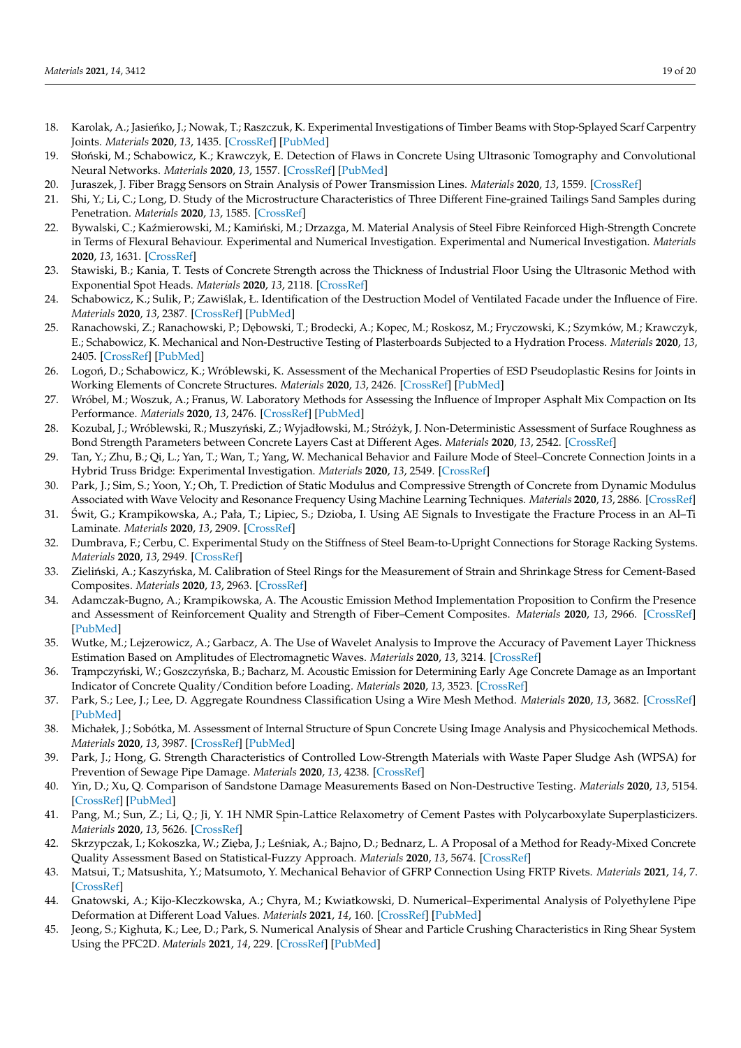- <span id="page-18-0"></span>18. Karolak, A.; Jasieńko, J.; Nowak, T.; Raszczuk, K. Experimental Investigations of Timber Beams with Stop-Splayed Scarf Carpentry Joints. *Materials* **2020**, *13*, 1435. [\[CrossRef\]](http://doi.org/10.3390/ma13061435) [\[PubMed\]](http://www.ncbi.nlm.nih.gov/pubmed/32245228)
- <span id="page-18-1"></span>19. Słoński, M.; Schabowicz, K.; Krawczyk, E. Detection of Flaws in Concrete Using Ultrasonic Tomography and Convolutional Neural Networks. *Materials* **2020**, *13*, 1557. [\[CrossRef\]](http://doi.org/10.3390/ma13071557) [\[PubMed\]](http://www.ncbi.nlm.nih.gov/pubmed/32230967)
- <span id="page-18-2"></span>20. Juraszek, J. Fiber Bragg Sensors on Strain Analysis of Power Transmission Lines. *Materials* **2020**, *13*, 1559. [\[CrossRef\]](http://doi.org/10.3390/ma13071559)
- <span id="page-18-3"></span>21. Shi, Y.; Li, C.; Long, D. Study of the Microstructure Characteristics of Three Different Fine-grained Tailings Sand Samples during Penetration. *Materials* **2020**, *13*, 1585. [\[CrossRef\]](http://doi.org/10.3390/ma13071585)
- <span id="page-18-4"></span>22. Bywalski, C.; Kaźmierowski, M.; Kamiński, M.; Drzazga, M. Material Analysis of Steel Fibre Reinforced High-Strength Concrete in Terms of Flexural Behaviour. Experimental and Numerical Investigation. Experimental and Numerical Investigation. *Materials* **2020**, *13*, 1631. [\[CrossRef\]](http://doi.org/10.3390/ma13071631)
- <span id="page-18-5"></span>23. Stawiski, B.; Kania, T. Tests of Concrete Strength across the Thickness of Industrial Floor Using the Ultrasonic Method with Exponential Spot Heads. *Materials* **2020**, *13*, 2118. [\[CrossRef\]](http://doi.org/10.3390/ma13092118)
- <span id="page-18-6"></span>24. Schabowicz, K.; Sulik, P.; Zawiślak, Ł. Identification of the Destruction Model of Ventilated Facade under the Influence of Fire. *Materials* **2020**, *13*, 2387. [\[CrossRef\]](http://doi.org/10.3390/ma13102387) [\[PubMed\]](http://www.ncbi.nlm.nih.gov/pubmed/32455908)
- <span id="page-18-7"></span>25. Ranachowski, Z.; Ranachowski, P.; Dębowski, T.; Brodecki, A.; Kopec, M.; Roskosz, M.; Fryczowski, K.; Szymków, M.; Krawczyk, E.; Schabowicz, K. Mechanical and Non-Destructive Testing of Plasterboards Subjected to a Hydration Process. *Materials* **2020**, *13*, 2405. [\[CrossRef\]](http://doi.org/10.3390/ma13102405) [\[PubMed\]](http://www.ncbi.nlm.nih.gov/pubmed/32456173)
- <span id="page-18-8"></span>26. Logoń, D.; Schabowicz, K.; Wróblewski, K. Assessment of the Mechanical Properties of ESD Pseudoplastic Resins for Joints in Working Elements of Concrete Structures. *Materials* **2020**, *13*, 2426. [\[CrossRef\]](http://doi.org/10.3390/ma13112426) [\[PubMed\]](http://www.ncbi.nlm.nih.gov/pubmed/32466358)
- <span id="page-18-9"></span>27. Wróbel, M.; Woszuk, A.; Franus, W. Laboratory Methods for Assessing the Influence of Improper Asphalt Mix Compaction on Its Performance. *Materials* **2020**, *13*, 2476. [\[CrossRef\]](http://doi.org/10.3390/ma13112476) [\[PubMed\]](http://www.ncbi.nlm.nih.gov/pubmed/32485880)
- <span id="page-18-10"></span>28. Kozubal, J.; Wróblewski, R.; Muszyński, Z.; Wyjadłowski, M.; Stróżyk, J. Non-Deterministic Assessment of Surface Roughness as Bond Strength Parameters between Concrete Layers Cast at Different Ages. *Materials* **2020**, *13*, 2542. [\[CrossRef\]](http://doi.org/10.3390/ma13112542)
- <span id="page-18-11"></span>29. Tan, Y.; Zhu, B.; Qi, L.; Yan, T.; Wan, T.; Yang, W. Mechanical Behavior and Failure Mode of Steel–Concrete Connection Joints in a Hybrid Truss Bridge: Experimental Investigation. *Materials* **2020**, *13*, 2549. [\[CrossRef\]](http://doi.org/10.3390/ma13112549)
- <span id="page-18-12"></span>30. Park, J.; Sim, S.; Yoon, Y.; Oh, T. Prediction of Static Modulus and Compressive Strength of Concrete from Dynamic Modulus Associated with Wave Velocity and Resonance Frequency Using Machine Learning Techniques. *Materials* **2020**, *13*, 2886. [\[CrossRef\]](http://doi.org/10.3390/ma13132886)
- <span id="page-18-13"></span>31. Swit, G.; Krampikowska, A.; Pała, T.; Lipiec, S.; Dzioba, I. Using AE Signals to Investigate the Fracture Process in an Al–Ti ´ Laminate. *Materials* **2020**, *13*, 2909. [\[CrossRef\]](http://doi.org/10.3390/ma13132909)
- <span id="page-18-14"></span>32. Dumbrava, F.; Cerbu, C. Experimental Study on the Stiffness of Steel Beam-to-Upright Connections for Storage Racking Systems. *Materials* **2020**, *13*, 2949. [\[CrossRef\]](http://doi.org/10.3390/ma13132949)
- <span id="page-18-15"></span>33. Zieliński, A.; Kaszyńska, M. Calibration of Steel Rings for the Measurement of Strain and Shrinkage Stress for Cement-Based Composites. *Materials* **2020**, *13*, 2963. [\[CrossRef\]](http://doi.org/10.3390/ma13132963)
- <span id="page-18-16"></span>34. Adamczak-Bugno, A.; Krampikowska, A. The Acoustic Emission Method Implementation Proposition to Confirm the Presence and Assessment of Reinforcement Quality and Strength of Fiber–Cement Composites. *Materials* **2020**, *13*, 2966. [\[CrossRef\]](http://doi.org/10.3390/ma13132966) [\[PubMed\]](http://www.ncbi.nlm.nih.gov/pubmed/32630763)
- <span id="page-18-17"></span>35. Wutke, M.; Lejzerowicz, A.; Garbacz, A. The Use of Wavelet Analysis to Improve the Accuracy of Pavement Layer Thickness Estimation Based on Amplitudes of Electromagnetic Waves. *Materials* **2020**, *13*, 3214. [\[CrossRef\]](http://doi.org/10.3390/ma13143214)
- <span id="page-18-18"></span>36. Trampczyński, W.; Goszczyńska, B.; Bacharz, M. Acoustic Emission for Determining Early Age Concrete Damage as an Important Indicator of Concrete Quality/Condition before Loading. *Materials* **2020**, *13*, 3523. [\[CrossRef\]](http://doi.org/10.3390/ma13163523)
- <span id="page-18-19"></span>37. Park, S.; Lee, J.; Lee, D. Aggregate Roundness Classification Using a Wire Mesh Method. *Materials* **2020**, *13*, 3682. [\[CrossRef\]](http://doi.org/10.3390/ma13173682) [\[PubMed\]](http://www.ncbi.nlm.nih.gov/pubmed/32825424)
- <span id="page-18-20"></span>38. Michałek, J.; Sobótka, M. Assessment of Internal Structure of Spun Concrete Using Image Analysis and Physicochemical Methods. *Materials* **2020**, *13*, 3987. [\[CrossRef\]](http://doi.org/10.3390/ma13183987) [\[PubMed\]](http://www.ncbi.nlm.nih.gov/pubmed/32916875)
- <span id="page-18-21"></span>39. Park, J.; Hong, G. Strength Characteristics of Controlled Low-Strength Materials with Waste Paper Sludge Ash (WPSA) for Prevention of Sewage Pipe Damage. *Materials* **2020**, *13*, 4238. [\[CrossRef\]](http://doi.org/10.3390/ma13194238)
- <span id="page-18-22"></span>40. Yin, D.; Xu, Q. Comparison of Sandstone Damage Measurements Based on Non-Destructive Testing. *Materials* **2020**, *13*, 5154. [\[CrossRef\]](http://doi.org/10.3390/ma13225154) [\[PubMed\]](http://www.ncbi.nlm.nih.gov/pubmed/33207652)
- <span id="page-18-23"></span>41. Pang, M.; Sun, Z.; Li, Q.; Ji, Y. 1H NMR Spin-Lattice Relaxometry of Cement Pastes with Polycarboxylate Superplasticizers. *Materials* **2020**, *13*, 5626. [\[CrossRef\]](http://doi.org/10.3390/ma13245626)
- <span id="page-18-24"></span>42. Skrzypczak, I.; Kokoszka, W.; Zięba, J.; Leśniak, A.; Bajno, D.; Bednarz, L. A Proposal of a Method for Ready-Mixed Concrete Quality Assessment Based on Statistical-Fuzzy Approach. *Materials* **2020**, *13*, 5674. [\[CrossRef\]](http://doi.org/10.3390/ma13245674)
- <span id="page-18-25"></span>43. Matsui, T.; Matsushita, Y.; Matsumoto, Y. Mechanical Behavior of GFRP Connection Using FRTP Rivets. *Materials* **2021**, *14*, 7. [\[CrossRef\]](http://doi.org/10.3390/ma14010007)
- <span id="page-18-26"></span>44. Gnatowski, A.; Kijo-Kleczkowska, A.; Chyra, M.; Kwiatkowski, D. Numerical–Experimental Analysis of Polyethylene Pipe Deformation at Different Load Values. *Materials* **2021**, *14*, 160. [\[CrossRef\]](http://doi.org/10.3390/ma14010160) [\[PubMed\]](http://www.ncbi.nlm.nih.gov/pubmed/33396454)
- <span id="page-18-27"></span>45. Jeong, S.; Kighuta, K.; Lee, D.; Park, S. Numerical Analysis of Shear and Particle Crushing Characteristics in Ring Shear System Using the PFC2D. *Materials* **2021**, *14*, 229. [\[CrossRef\]](http://doi.org/10.3390/ma14010229) [\[PubMed\]](http://www.ncbi.nlm.nih.gov/pubmed/33466453)